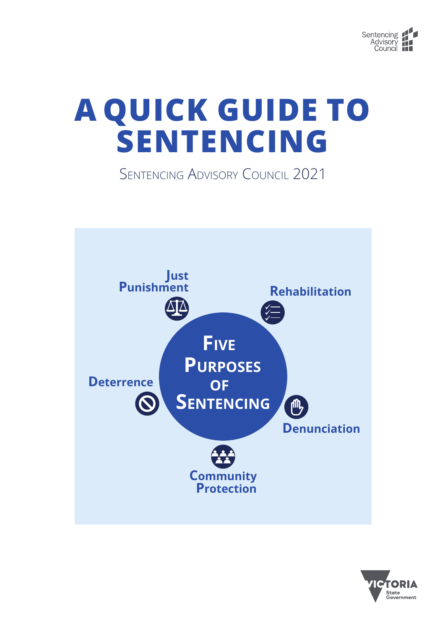

# **A QUICK GUIDE TO SENTENCING**

Sentencing Advisory Council 2021



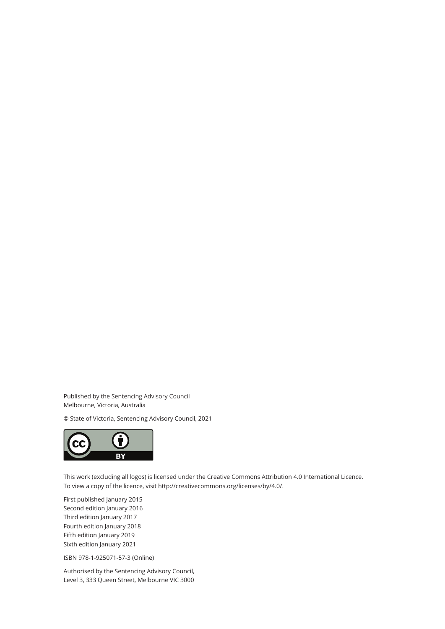Published by the Sentencing Advisory Council Melbourne, Victoria, Australia

© State of Victoria, Sentencing Advisory Council, 2021



This work (excluding all logos) is licensed under the Creative Commons Attribution 4.0 International Licence. To view a copy of the licence, visit http://creativecommons.org/licenses/by/4.0/.

First published January 2015 Second edition January 2016 Third edition January 2017 Fourth edition January 2018 Fifth edition January 2019 Sixth edition January 2021

ISBN 978-1-925071-57-3 (Online)

Authorised by the Sentencing Advisory Council, Level 3, 333 Queen Street, Melbourne VIC 3000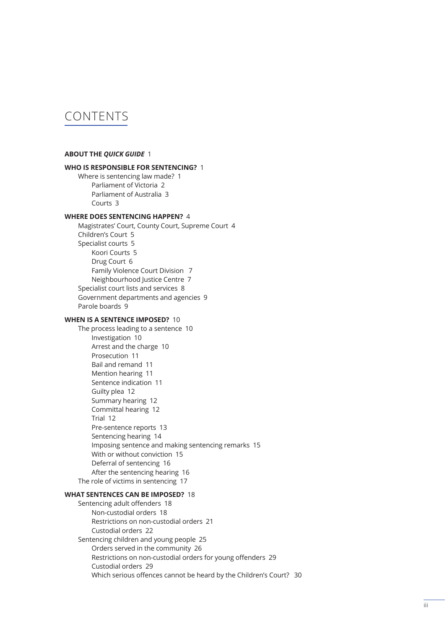## CONTENTS

#### **ABOUT THE** *[QUICK GUIDE](#page-4-0)* 1

#### **[WHO IS RESPONSIBLE FOR SENTENCING?](#page-4-0)** 1

[Where is sentencing law made?](#page-4-0) 1 [Parliament of Victoria](#page-5-0) 2 [Parliament of Australia](#page-6-0) 3 [Courts](#page-6-0) 3

#### **[WHERE DOES SENTENCING HAPPEN?](#page-7-0)** 4

[Magistrates' Court, County Court, Supreme Court](#page-7-0) 4 [Children's Court](#page-8-0) 5 [Specialist courts](#page-8-0) 5 [Koori Courts](#page-8-0) 5 [Drug Court](#page-9-0) 6 [Family Violence Court Division](#page-10-0) 7 [Neighbourhood Justice Centre](#page-10-0) 7 [Specialist court lists and services](#page-11-0) 8 [Government departments and agencies](#page-12-0) 9 [Parole boards](#page-12-0) 9

#### **[WHEN IS A SENTENCE IMPOSED?](#page-13-0)** 10

[The process leading to a sentence](#page-13-0) 10 [Investigation](#page-13-0) 10 [Arrest and the charge](#page-13-0) 10 [Prosecution](#page-14-0) 11 [Bail and remand](#page-14-0) 11 [Mention hearing](#page-14-0) 11 [Sentence indication](#page-14-0) 11 [Guilty plea](#page-15-0) 12 [Summary hearing](#page-15-0) 12 [Committal hearing](#page-15-0) 12 [Trial](#page-15-0) 12 [Pre-sentence reports](#page-16-0) 13 [Sentencing hearing](#page-17-0) 14 [Imposing sentence and making sentencing remarks](#page-18-0) 15 [With or without conviction](#page-18-0) 15 [Deferral of sentencing](#page-19-0) 16 [After the sentencing hearing](#page-19-0) 16 [The role of victims in sentencing](#page-20-0) 17

#### **[WHAT SENTENCES CAN BE IMPOSED?](#page-21-0)** 18

[Sentencing adult offenders](#page-21-0) 18 [Non-custodial orders](#page-21-0) 18 [Restrictions on non-custodial orders](#page-24-0) 21 [Custodial orders](#page-25-0) 22 [Sentencing children and young people](#page-28-0) 25 [Orders served in the community](#page-29-0) 26 [Restrictions on non-custodial orders for young offenders](#page-32-0) 29 [Custodial orders](#page-32-0) 29 [Which serious offences cannot be heard by the Children's Court?](#page-33-0) 30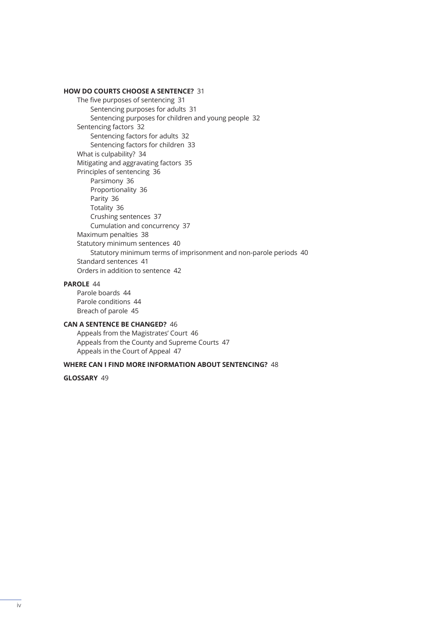#### **[HOW DO COURTS CHOOSE A SENTENCE?](#page-34-0)** 31

[The five purposes of sentencing](#page-34-0) 31 [Sentencing purposes for adults](#page-34-0) 31 [Sentencing purposes for children and young people](#page-35-0) 32 [Sentencing factors](#page-35-0) 32 [Sentencing factors for adults](#page-35-0) 32 [Sentencing factors for children](#page-36-0) 33 [What is culpability?](#page-37-0) 34 [Mitigating and aggravating factors](#page-38-0) 35 [Principles of sentencing](#page-39-0) 36 [Parsimony](#page-39-0) 36 [Proportionality](#page-39-0) 36 [Parity](#page-39-0) 36 [Totality](#page-39-0) 36 [Crushing sentences](#page-40-0) 37 [Cumulation and concurrency](#page-40-0) 37 [Maximum penalties](#page-41-0) 38 [Statutory minimum sentences](#page-43-0) 40 [Statutory minimum terms of imprisonment and non-parole periods](#page-43-0) 40 [Standard sentences](#page-44-0) 41 [Orders in addition to sentence](#page-45-0) 42

#### **[PAROLE](#page-47-0)** 44

[Parole boards](#page-47-0) 44 [Parole conditions](#page-47-0) 44 [Breach of parole](#page-48-0) 45

#### **[CAN A SENTENCE BE CHANGED?](#page-49-0)** 46

[Appeals from the Magistrates' Court](#page-49-0) 46 [Appeals from the County and Supreme Courts](#page-50-0) 47 [Appeals in the Court of Appeal](#page-50-0) 47

#### **[WHERE CAN I FIND MORE INFORMATION ABOUT SENTENCING?](#page-51-0)** 48

**[GLOSSARY](#page-52-0)** 49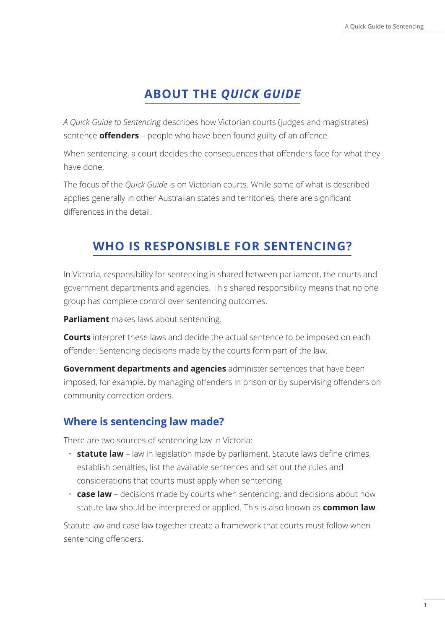# **ABOUT THE** *QUICK GUIDE*

<span id="page-4-0"></span>*A Quick Guide to Sentencing* describes how Victorian courts (judges and magistrates) sentence **offenders** – people who have been found guilty of an offence.

When sentencing, a court decides the consequences that offenders face for what they have done.

The focus of the *Quick Guide* is on Victorian courts. While some of what is described applies generally in other Australian states and territories, there are significant differences in the detail.

# **WHO IS RESPONSIBLE FOR SENTENCING?**

In Victoria, responsibility for sentencing is shared between parliament, the courts and government departments and agencies. This shared responsibility means that no one group has complete control over sentencing outcomes.

**Parliament** makes laws about sentencing.

**Courts** interpret these laws and decide the actual sentence to be imposed on each offender. Sentencing decisions made by the courts form part of the law.

**Government departments and agencies** administer sentences that have been imposed, for example, by managing offenders in prison or by supervising offenders on community correction orders.

## **Where is sentencing law made?**

There are two sources of sentencing law in Victoria:

- **statute law** law in legislation made by parliament. Statute laws define crimes, establish penalties, list the available sentences and set out the rules and considerations that courts must apply when sentencing
- **case law**  decisions made by courts when sentencing, and decisions about how statute law should be interpreted or applied. This is also known as **common law**.

Statute law and case law together create a framework that courts must follow when sentencing offenders.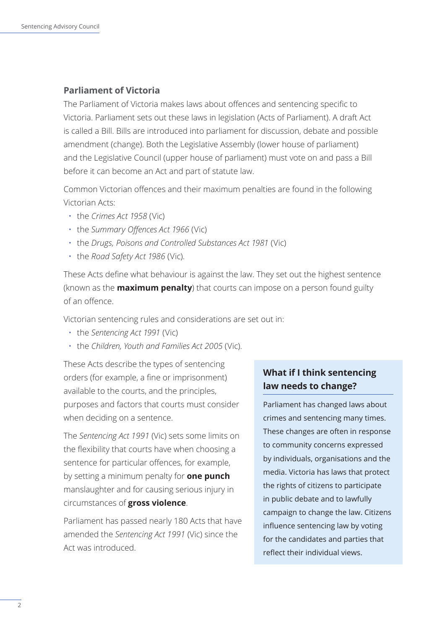#### <span id="page-5-0"></span>**Parliament of Victoria**

The Parliament of Victoria makes laws about offences and sentencing specific to Victoria. Parliament sets out these laws in legislation (Acts of Parliament). A draft Act is called a Bill. Bills are introduced into parliament for discussion, debate and possible amendment (change). Both the Legislative Assembly (lower house of parliament) and the Legislative Council (upper house of parliament) must vote on and pass a Bill before it can become an Act and part of statute law.

Common Victorian offences and their maximum penalties are found in the following Victorian Acts:

- the *Crimes Act 1958* (Vic)
- the *Summary Offences Act 1966* (Vic)
- the *Drugs, Poisons and Controlled Substances Act 1981* (Vic)
- the *Road Safety Act 1986* (Vic).

These Acts define what behaviour is against the law. They set out the highest sentence (known as the **maximum penalty**) that courts can impose on a person found guilty of an offence.

Victorian sentencing rules and considerations are set out in:

- the *Sentencing Act 1991* (Vic)
- the *Children, Youth and Families Act 2005* (Vic).

These Acts describe the types of sentencing orders (for example, a fine or imprisonment) available to the courts, and the principles, purposes and factors that courts must consider when deciding on a sentence.

The *Sentencing Act 1991* (Vic) sets some limits on the flexibility that courts have when choosing a sentence for particular offences, for example, by setting a minimum penalty for **one punch** manslaughter and for causing serious injury in circumstances of **gross violence**.

Parliament has passed nearly 180 Acts that have amended the *Sentencing Act 1991* (Vic) since the Act was introduced.

## **What if I think sentencing law needs to change?**

Parliament has changed laws about crimes and sentencing many times. These changes are often in response to community concerns expressed by individuals, organisations and the media. Victoria has laws that protect the rights of citizens to participate in public debate and to lawfully campaign to change the law. Citizens influence sentencing law by voting for the candidates and parties that reflect their individual views.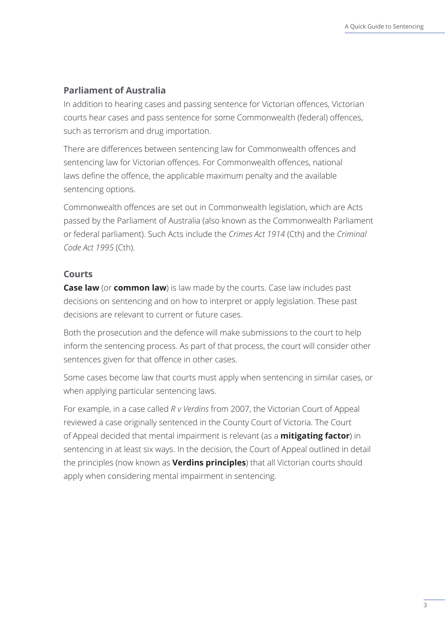#### <span id="page-6-0"></span>**Parliament of Australia**

In addition to hearing cases and passing sentence for Victorian offences, Victorian courts hear cases and pass sentence for some Commonwealth (federal) offences, such as terrorism and drug importation.

There are differences between sentencing law for Commonwealth offences and sentencing law for Victorian offences. For Commonwealth offences, national laws define the offence, the applicable maximum penalty and the available sentencing options.

Commonwealth offences are set out in Commonwealth legislation, which are Acts passed by the Parliament of Australia (also known as the Commonwealth Parliament or federal parliament). Such Acts include the *Crimes Act 1914* (Cth) and the *Criminal Code Act 1995* (Cth).

#### **Courts**

**Case law** (or **common law**) is law made by the courts. Case law includes past decisions on sentencing and on how to interpret or apply legislation. These past decisions are relevant to current or future cases.

Both the prosecution and the defence will make submissions to the court to help inform the sentencing process. As part of that process, the court will consider other sentences given for that offence in other cases.

Some cases become law that courts must apply when sentencing in similar cases, or when applying particular sentencing laws.

For example, in a case called *R v Verdins* from 2007, the Victorian Court of Appeal reviewed a case originally sentenced in the County Court of Victoria. The Court of Appeal decided that mental impairment is relevant (as a **mitigating factor**) in sentencing in at least six ways. In the decision, the Court of Appeal outlined in detail the principles (now known as **Verdins principles**) that all Victorian courts should apply when considering mental impairment in sentencing.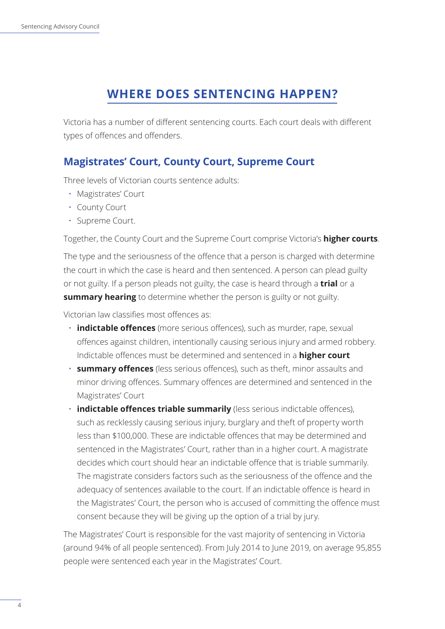# **WHERE DOES SENTENCING HAPPEN?**

<span id="page-7-0"></span>Victoria has a number of different sentencing courts. Each court deals with different types of offences and offenders.

## **Magistrates' Court, County Court, Supreme Court**

Three levels of Victorian courts sentence adults:

- Magistrates' Court
- County Court
- Supreme Court.

Together, the County Court and the Supreme Court comprise Victoria's **higher courts**.

The type and the seriousness of the offence that a person is charged with determine the court in which the case is heard and then sentenced. A person can plead guilty or not guilty. If a person pleads not guilty, the case is heard through a **trial** or a **summary hearing** to determine whether the person is guilty or not guilty.

Victorian law classifies most offences as:

- **indictable offences** (more serious offences), such as murder, rape, sexual offences against children, intentionally causing serious injury and armed robbery. Indictable offences must be determined and sentenced in a **higher court**
- **summary offences** (less serious offences), such as theft, minor assaults and minor driving offences. Summary offences are determined and sentenced in the Magistrates' Court
- **indictable offences triable summarily** (less serious indictable offences), such as recklessly causing serious injury, burglary and theft of property worth less than \$100,000. These are indictable offences that may be determined and sentenced in the Magistrates' Court, rather than in a higher court. A magistrate decides which court should hear an indictable offence that is triable summarily. The magistrate considers factors such as the seriousness of the offence and the adequacy of sentences available to the court. If an indictable offence is heard in the Magistrates' Court, the person who is accused of committing the offence must consent because they will be giving up the option of a trial by jury.

The Magistrates' Court is responsible for the vast majority of sentencing in Victoria (around 94% of all people sentenced). From July 2014 to June 2019, on average 95,855 people were sentenced each year in the Magistrates' Court.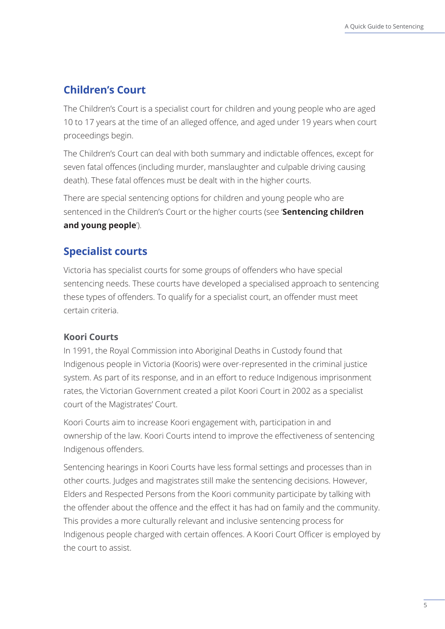## <span id="page-8-0"></span>**Children's Court**

The Children's Court is a specialist court for children and young people who are aged 10 to 17 years at the time of an alleged offence, and aged under 19 years when court proceedings begin.

The Children's Court can deal with both summary and indictable offences, except for seven fatal offences (including murder, manslaughter and culpable driving causing death). These fatal offences must be dealt with in the higher courts.

There are special sentencing options for children and young people who are sentenced in the Children's Court or the higher courts (see '**Sentencing children and young people**').

## **Specialist courts**

Victoria has specialist courts for some groups of offenders who have special sentencing needs. These courts have developed a specialised approach to sentencing these types of offenders. To qualify for a specialist court, an offender must meet certain criteria.

#### **Koori Courts**

In 1991, the Royal Commission into Aboriginal Deaths in Custody found that Indigenous people in Victoria (Kooris) were over-represented in the criminal justice system. As part of its response, and in an effort to reduce Indigenous imprisonment rates, the Victorian Government created a pilot Koori Court in 2002 as a specialist court of the Magistrates' Court.

Koori Courts aim to increase Koori engagement with, participation in and ownership of the law. Koori Courts intend to improve the effectiveness of sentencing Indigenous offenders.

Sentencing hearings in Koori Courts have less formal settings and processes than in other courts. Judges and magistrates still make the sentencing decisions. However, Elders and Respected Persons from the Koori community participate by talking with the offender about the offence and the effect it has had on family and the community. This provides a more culturally relevant and inclusive sentencing process for Indigenous people charged with certain offences. A Koori Court Officer is employed by the court to assist.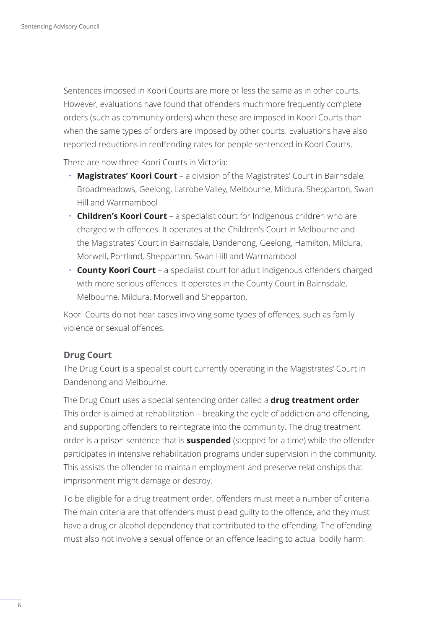<span id="page-9-0"></span>Sentences imposed in Koori Courts are more or less the same as in other courts. However, evaluations have found that offenders much more frequently complete orders (such as community orders) when these are imposed in Koori Courts than when the same types of orders are imposed by other courts. Evaluations have also reported reductions in reoffending rates for people sentenced in Koori Courts.

There are now three Koori Courts in Victoria:

- **Magistrates' Koori Court**  a division of the Magistrates' Court in Bairnsdale, Broadmeadows, Geelong, Latrobe Valley, Melbourne, Mildura, Shepparton, Swan Hill and Warrnambool
- **Children's Koori Court** a specialist court for Indigenous children who are charged with offences. It operates at the Children's Court in Melbourne and the Magistrates' Court in Bairnsdale, Dandenong, Geelong, Hamilton, Mildura, Morwell, Portland, Shepparton, Swan Hill and Warrnambool
- **County Koori Court**  a specialist court for adult Indigenous offenders charged with more serious offences. It operates in the County Court in Bairnsdale, Melbourne, Mildura, Morwell and Shepparton.

Koori Courts do not hear cases involving some types of offences, such as family violence or sexual offences.

#### **Drug Court**

The Drug Court is a specialist court currently operating in the Magistrates' Court in Dandenong and Melbourne.

The Drug Court uses a special sentencing order called a **drug treatment order**. This order is aimed at rehabilitation – breaking the cycle of addiction and offending, and supporting offenders to reintegrate into the community. The drug treatment order is a prison sentence that is **suspended** (stopped for a time) while the offender participates in intensive rehabilitation programs under supervision in the community. This assists the offender to maintain employment and preserve relationships that imprisonment might damage or destroy.

To be eligible for a drug treatment order, offenders must meet a number of criteria. The main criteria are that offenders must plead guilty to the offence, and they must have a drug or alcohol dependency that contributed to the offending. The offending must also not involve a sexual offence or an offence leading to actual bodily harm.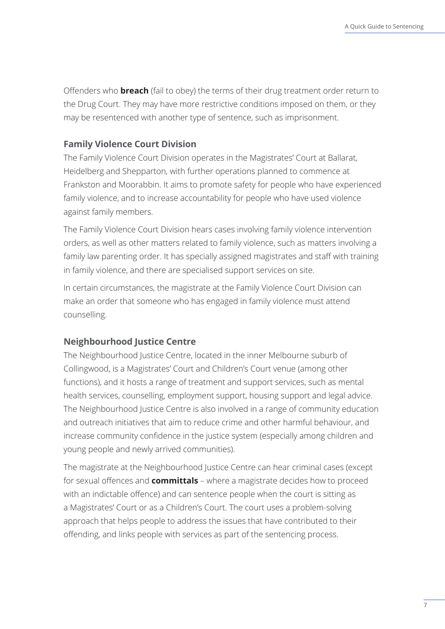<span id="page-10-0"></span>Offenders who **breach** (fail to obey) the terms of their drug treatment order return to the Drug Court. They may have more restrictive conditions imposed on them, or they may be resentenced with another type of sentence, such as imprisonment.

#### **Family Violence Court Division**

The Family Violence Court Division operates in the Magistrates' Court at Ballarat, Heidelberg and Shepparton, with further operations planned to commence at Frankston and Moorabbin. It aims to promote safety for people who have experienced family violence, and to increase accountability for people who have used violence against family members.

The Family Violence Court Division hears cases involving family violence intervention orders, as well as other matters related to family violence, such as matters involving a family law parenting order. It has specially assigned magistrates and staff with training in family violence, and there are specialised support services on site.

In certain circumstances, the magistrate at the Family Violence Court Division can make an order that someone who has engaged in family violence must attend counselling.

#### **Neighbourhood Justice Centre**

The Neighbourhood Justice Centre, located in the inner Melbourne suburb of Collingwood, is a Magistrates' Court and Children's Court venue (among other functions), and it hosts a range of treatment and support services, such as mental health services, counselling, employment support, housing support and legal advice. The Neighbourhood Justice Centre is also involved in a range of community education and outreach initiatives that aim to reduce crime and other harmful behaviour, and increase community confidence in the justice system (especially among children and young people and newly arrived communities).

The magistrate at the Neighbourhood Justice Centre can hear criminal cases (except for sexual offences and **committals** – where a magistrate decides how to proceed with an indictable offence) and can sentence people when the court is sitting as a Magistrates' Court or as a Children's Court. The court uses a problem-solving approach that helps people to address the issues that have contributed to their offending, and links people with services as part of the sentencing process.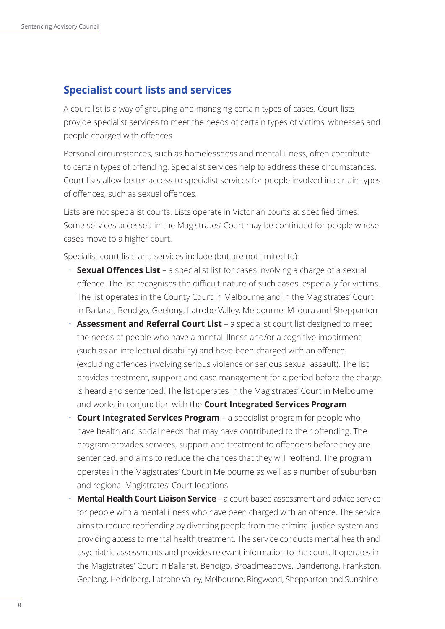## <span id="page-11-0"></span>**Specialist court lists and services**

A court list is a way of grouping and managing certain types of cases. Court lists provide specialist services to meet the needs of certain types of victims, witnesses and people charged with offences.

Personal circumstances, such as homelessness and mental illness, often contribute to certain types of offending. Specialist services help to address these circumstances. Court lists allow better access to specialist services for people involved in certain types of offences, such as sexual offences.

Lists are not specialist courts. Lists operate in Victorian courts at specified times. Some services accessed in the Magistrates' Court may be continued for people whose cases move to a higher court.

Specialist court lists and services include (but are not limited to):

- **Sexual Offences List** a specialist list for cases involving a charge of a sexual offence. The list recognises the difficult nature of such cases, especially for victims. The list operates in the County Court in Melbourne and in the Magistrates' Court in Ballarat, Bendigo, Geelong, Latrobe Valley, Melbourne, Mildura and Shepparton
- **Assessment and Referral Court List**  a specialist court list designed to meet the needs of people who have a mental illness and/or a cognitive impairment (such as an intellectual disability) and have been charged with an offence (excluding offences involving serious violence or serious sexual assault). The list provides treatment, support and case management for a period before the charge is heard and sentenced. The list operates in the Magistrates' Court in Melbourne and works in conjunction with the **Court Integrated Services Program**
- **Court Integrated Services Program**  a specialist program for people who have health and social needs that may have contributed to their offending. The program provides services, support and treatment to offenders before they are sentenced, and aims to reduce the chances that they will reoffend. The program operates in the Magistrates' Court in Melbourne as well as a number of suburban and regional Magistrates' Court locations
- **Mental Health Court Liaison Service**  a court-based assessment and advice service for people with a mental illness who have been charged with an offence. The service aims to reduce reoffending by diverting people from the criminal justice system and providing access to mental health treatment. The service conducts mental health and psychiatric assessments and provides relevant information to the court. It operates in the Magistrates' Court in Ballarat, Bendigo, Broadmeadows, Dandenong, Frankston, Geelong, Heidelberg, Latrobe Valley, Melbourne, Ringwood, Shepparton and Sunshine.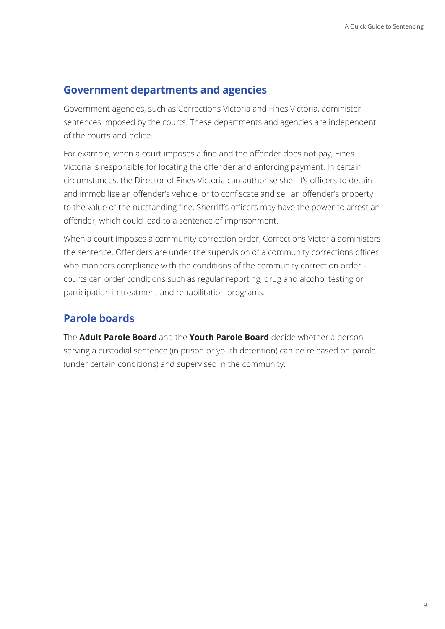## <span id="page-12-0"></span>**Government departments and agencies**

Government agencies, such as Corrections Victoria and Fines Victoria, administer sentences imposed by the courts. These departments and agencies are independent of the courts and police.

For example, when a court imposes a fine and the offender does not pay, Fines Victoria is responsible for locating the offender and enforcing payment. In certain circumstances, the Director of Fines Victoria can authorise sheriff's officers to detain and immobilise an offender's vehicle, or to confiscate and sell an offender's property to the value of the outstanding fine. Sherriff's officers may have the power to arrest an offender, which could lead to a sentence of imprisonment.

When a court imposes a community correction order, Corrections Victoria administers the sentence. Offenders are under the supervision of a community corrections officer who monitors compliance with the conditions of the community correction order – courts can order conditions such as regular reporting, drug and alcohol testing or participation in treatment and rehabilitation programs.

## **Parole boards**

The **Adult Parole Board** and the **Youth Parole Board** decide whether a person serving a custodial sentence (in prison or youth detention) can be released on parole (under certain conditions) and supervised in the community.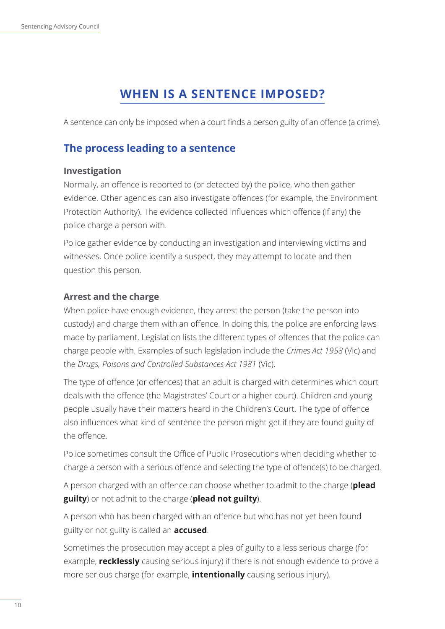# **WHEN IS A SENTENCE IMPOSED?**

<span id="page-13-0"></span>A sentence can only be imposed when a court finds a person guilty of an offence (a crime).

## **The process leading to a sentence**

#### **Investigation**

Normally, an offence is reported to (or detected by) the police, who then gather evidence. Other agencies can also investigate offences (for example, the Environment Protection Authority). The evidence collected influences which offence (if any) the police charge a person with.

Police gather evidence by conducting an investigation and interviewing victims and witnesses. Once police identify a suspect, they may attempt to locate and then question this person.

## **Arrest and the charge**

When police have enough evidence, they arrest the person (take the person into custody) and charge them with an offence. In doing this, the police are enforcing laws made by parliament. Legislation lists the different types of offences that the police can charge people with. Examples of such legislation include the *Crimes Act 1958* (Vic) and the *Drugs, Poisons and Controlled Substances Act 1981* (Vic).

The type of offence (or offences) that an adult is charged with determines which court deals with the offence (the Magistrates' Court or a higher court). Children and young people usually have their matters heard in the Children's Court. The type of offence also influences what kind of sentence the person might get if they are found guilty of the offence.

Police sometimes consult the Office of Public Prosecutions when deciding whether to charge a person with a serious offence and selecting the type of offence(s) to be charged.

A person charged with an offence can choose whether to admit to the charge (**plead guilty**) or not admit to the charge (**plead not guilty**).

A person who has been charged with an offence but who has not yet been found guilty or not guilty is called an **accused**.

Sometimes the prosecution may accept a plea of guilty to a less serious charge (for example, **recklessly** causing serious injury) if there is not enough evidence to prove a more serious charge (for example, **intentionally** causing serious injury).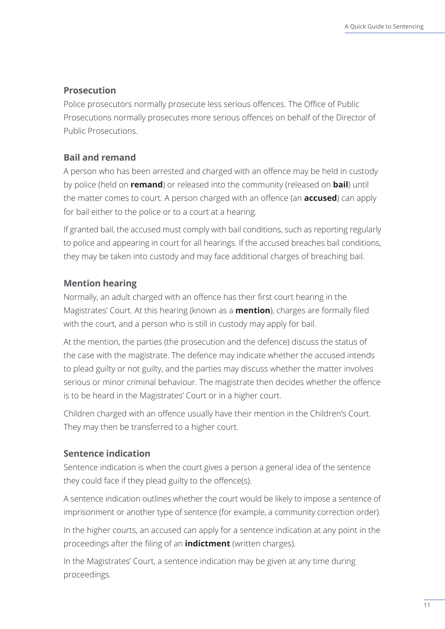#### <span id="page-14-0"></span>**Prosecution**

Police prosecutors normally prosecute less serious offences. The Office of Public Prosecutions normally prosecutes more serious offences on behalf of the Director of Public Prosecutions.

#### **Bail and remand**

A person who has been arrested and charged with an offence may be held in custody by police (held on **remand**) or released into the community (released on **bail**) until the matter comes to court. A person charged with an offence (an **accused**) can apply for bail either to the police or to a court at a hearing.

If granted bail, the accused must comply with bail conditions, such as reporting regularly to police and appearing in court for all hearings. If the accused breaches bail conditions, they may be taken into custody and may face additional charges of breaching bail.

#### **Mention hearing**

Normally, an adult charged with an offence has their first court hearing in the Magistrates' Court. At this hearing (known as a **mention**), charges are formally filed with the court, and a person who is still in custody may apply for bail.

At the mention, the parties (the prosecution and the defence) discuss the status of the case with the magistrate. The defence may indicate whether the accused intends to plead guilty or not guilty, and the parties may discuss whether the matter involves serious or minor criminal behaviour. The magistrate then decides whether the offence is to be heard in the Magistrates' Court or in a higher court.

Children charged with an offence usually have their mention in the Children's Court. They may then be transferred to a higher court.

#### **Sentence indication**

Sentence indication is when the court gives a person a general idea of the sentence they could face if they plead guilty to the offence(s).

A sentence indication outlines whether the court would be likely to impose a sentence of imprisonment or another type of sentence (for example, a community correction order).

In the higher courts, an accused can apply for a sentence indication at any point in the proceedings after the filing of an **indictment** (written charges).

In the Magistrates' Court, a sentence indication may be given at any time during proceedings.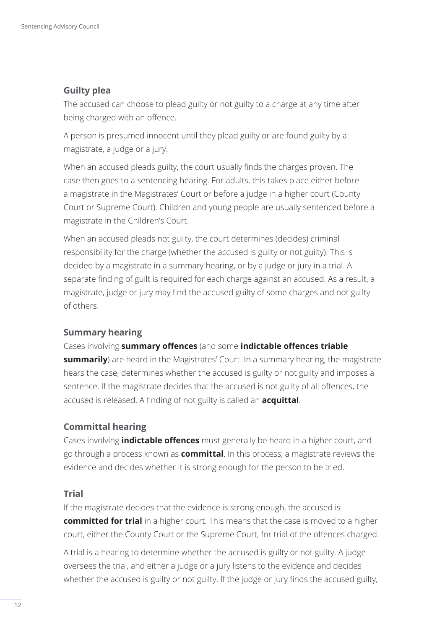#### <span id="page-15-0"></span>**Guilty plea**

The accused can choose to plead guilty or not guilty to a charge at any time after being charged with an offence.

A person is presumed innocent until they plead guilty or are found guilty by a magistrate, a judge or a jury.

When an accused pleads guilty, the court usually finds the charges proven. The case then goes to a sentencing hearing. For adults, this takes place either before a magistrate in the Magistrates' Court or before a judge in a higher court (County Court or Supreme Court). Children and young people are usually sentenced before a magistrate in the Children's Court.

When an accused pleads not guilty, the court determines (decides) criminal responsibility for the charge (whether the accused is guilty or not guilty). This is decided by a magistrate in a summary hearing, or by a judge or jury in a trial. A separate finding of guilt is required for each charge against an accused. As a result, a magistrate, judge or jury may find the accused guilty of some charges and not guilty of others.

#### **Summary hearing**

Cases involving **summary offences** (and some **indictable offences triable summarily**) are heard in the Magistrates' Court. In a summary hearing, the magistrate hears the case, determines whether the accused is guilty or not guilty and imposes a sentence. If the magistrate decides that the accused is not guilty of all offences, the accused is released. A finding of not guilty is called an **acquittal**.

#### **Committal hearing**

Cases involving **indictable offences** must generally be heard in a higher court, and go through a process known as **committal**. In this process, a magistrate reviews the evidence and decides whether it is strong enough for the person to be tried.

#### **Trial**

If the magistrate decides that the evidence is strong enough, the accused is **committed for trial** in a higher court. This means that the case is moved to a higher court, either the County Court or the Supreme Court, for trial of the offences charged.

A trial is a hearing to determine whether the accused is guilty or not guilty. A judge oversees the trial, and either a judge or a jury listens to the evidence and decides whether the accused is guilty or not guilty. If the judge or jury finds the accused guilty,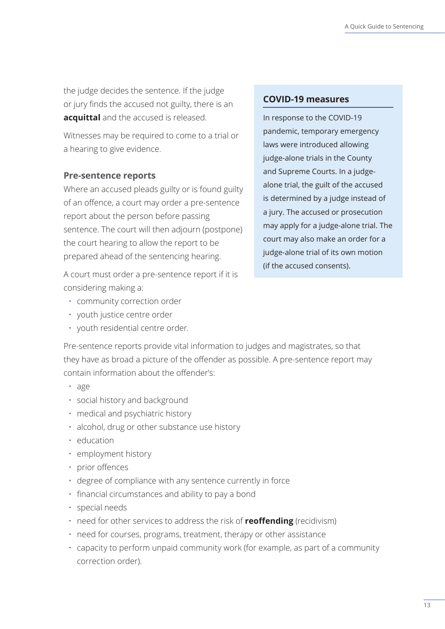<span id="page-16-0"></span>the judge decides the sentence. If the judge or jury finds the accused not guilty, there is an **acquittal** and the accused is released.

Witnesses may be required to come to a trial or a hearing to give evidence.

#### **Pre-sentence reports**

Where an accused pleads guilty or is found guilty of an offence, a court may order a pre-sentence report about the person before passing sentence. The court will then adjourn (postpone) the court hearing to allow the report to be prepared ahead of the sentencing hearing.

A court must order a pre-sentence report if it is considering making a:

- community correction order
- youth justice centre order
- youth residential centre order.

**COVID-19 measures**

In response to the COVID-19 pandemic, temporary emergency laws were introduced allowing judge-alone trials in the County and Supreme Courts. In a judgealone trial, the guilt of the accused is determined by a judge instead of a jury. The accused or prosecution may apply for a judge-alone trial. The court may also make an order for a judge-alone trial of its own motion (if the accused consents).

Pre-sentence reports provide vital information to judges and magistrates, so that they have as broad a picture of the offender as possible. A pre-sentence report may contain information about the offender's:

- age
- social history and background
- medical and psychiatric history
- alcohol, drug or other substance use history
- education
- employment history
- prior offences
- degree of compliance with any sentence currently in force
- financial circumstances and ability to pay a bond
- special needs
- need for other services to address the risk of **reoffending** (recidivism)
- need for courses, programs, treatment, therapy or other assistance
- capacity to perform unpaid community work (for example, as part of a community correction order).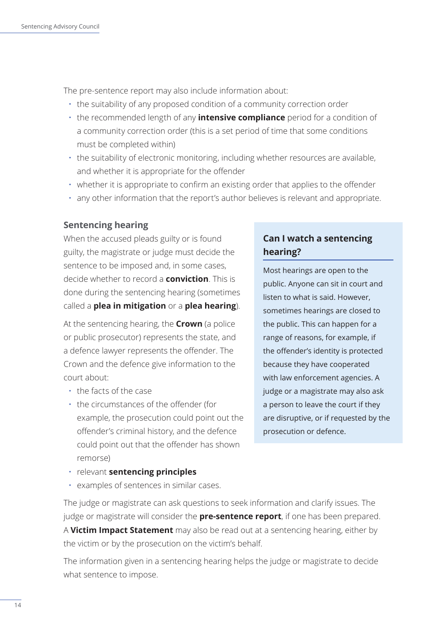<span id="page-17-0"></span>The pre-sentence report may also include information about:

- the suitability of any proposed condition of a community correction order
- the recommended length of any **intensive compliance** period for a condition of a community correction order (this is a set period of time that some conditions must be completed within)
- the suitability of electronic monitoring, including whether resources are available, and whether it is appropriate for the offender
- whether it is appropriate to confirm an existing order that applies to the offender
- any other information that the report's author believes is relevant and appropriate.

#### **Sentencing hearing**

When the accused pleads guilty or is found guilty, the magistrate or judge must decide the sentence to be imposed and, in some cases, decide whether to record a **conviction**. This is done during the sentencing hearing (sometimes called a **plea in mitigation** or a **plea hearing**).

At the sentencing hearing, the **Crown** (a police or public prosecutor) represents the state, and a defence lawyer represents the offender. The Crown and the defence give information to the court about:

- the facts of the case
- the circumstances of the offender (for example, the prosecution could point out the offender's criminal history, and the defence could point out that the offender has shown remorse)

## **Can I watch a sentencing hearing?**

Most hearings are open to the public. Anyone can sit in court and listen to what is said. However, sometimes hearings are closed to the public. This can happen for a range of reasons, for example, if the offender's identity is protected because they have cooperated with law enforcement agencies. A judge or a magistrate may also ask a person to leave the court if they are disruptive, or if requested by the prosecution or defence.

- relevant **sentencing principles**
- examples of sentences in similar cases.

The judge or magistrate can ask questions to seek information and clarify issues. The judge or magistrate will consider the **pre-sentence report**, if one has been prepared. A **Victim Impact Statement** may also be read out at a sentencing hearing, either by the victim or by the prosecution on the victim's behalf.

The information given in a sentencing hearing helps the judge or magistrate to decide what sentence to impose.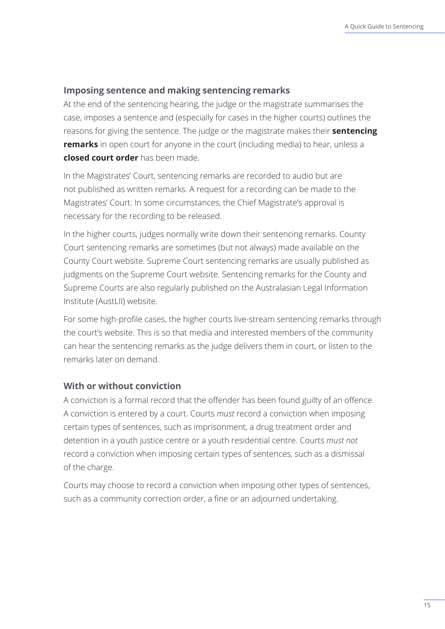#### <span id="page-18-0"></span>**Imposing sentence and making sentencing remarks**

At the end of the sentencing hearing, the judge or the magistrate summarises the case, imposes a sentence and (especially for cases in the higher courts) outlines the reasons for giving the sentence. The judge or the magistrate makes their **sentencing remarks** in open court for anyone in the court (including media) to hear, unless a **closed court order** has been made.

In the Magistrates' Court, sentencing remarks are recorded to audio but are not published as written remarks. A request for a recording can be made to the Magistrates' Court. In some circumstances, the Chief Magistrate's approval is necessary for the recording to be released.

In the higher courts, judges normally write down their sentencing remarks. County Court sentencing remarks are sometimes (but not always) made available on the County Court website. Supreme Court sentencing remarks are usually published as judgments on the Supreme Court website. Sentencing remarks for the County and Supreme Courts are also regularly published on the Australasian Legal Information Institute (AustLII) website.

For some high-profile cases, the higher courts live-stream sentencing remarks through the court's website. This is so that media and interested members of the community can hear the sentencing remarks as the judge delivers them in court, or listen to the remarks later on demand.

#### **With or without conviction**

A conviction is a formal record that the offender has been found guilty of an offence. A conviction is entered by a court. Courts *must* record a conviction when imposing certain types of sentences, such as imprisonment, a drug treatment order and detention in a youth justice centre or a youth residential centre. Courts *must not*  record a conviction when imposing certain types of sentences, such as a dismissal of the charge.

Courts may choose to record a conviction when imposing other types of sentences, such as a community correction order, a fine or an adjourned undertaking.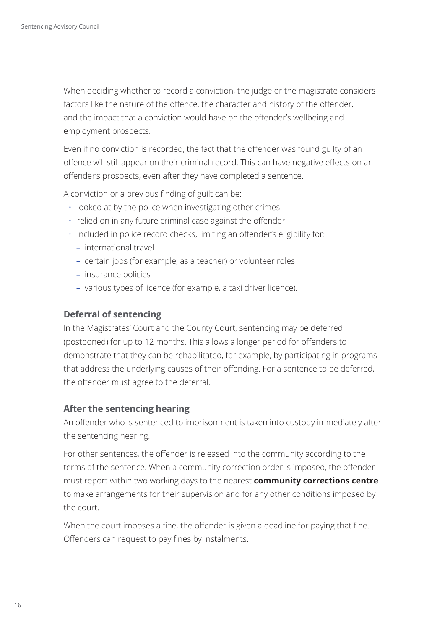<span id="page-19-0"></span>When deciding whether to record a conviction, the judge or the magistrate considers factors like the nature of the offence, the character and history of the offender, and the impact that a conviction would have on the offender's wellbeing and employment prospects.

Even if no conviction is recorded, the fact that the offender was found guilty of an offence will still appear on their criminal record. This can have negative effects on an offender's prospects, even after they have completed a sentence.

A conviction or a previous finding of guilt can be:

- looked at by the police when investigating other crimes
- relied on in any future criminal case against the offender
- included in police record checks, limiting an offender's eligibility for:
	- international travel
	- certain jobs (for example, as a teacher) or volunteer roles
	- insurance policies
	- various types of licence (for example, a taxi driver licence).

#### **Deferral of sentencing**

In the Magistrates' Court and the County Court, sentencing may be deferred (postponed) for up to 12 months. This allows a longer period for offenders to demonstrate that they can be rehabilitated, for example, by participating in programs that address the underlying causes of their offending. For a sentence to be deferred, the offender must agree to the deferral.

#### **After the sentencing hearing**

An offender who is sentenced to imprisonment is taken into custody immediately after the sentencing hearing.

For other sentences, the offender is released into the community according to the terms of the sentence. When a community correction order is imposed, the offender must report within two working days to the nearest **community corrections centre** to make arrangements for their supervision and for any other conditions imposed by the court.

When the court imposes a fine, the offender is given a deadline for paying that fine. Offenders can request to pay fines by instalments.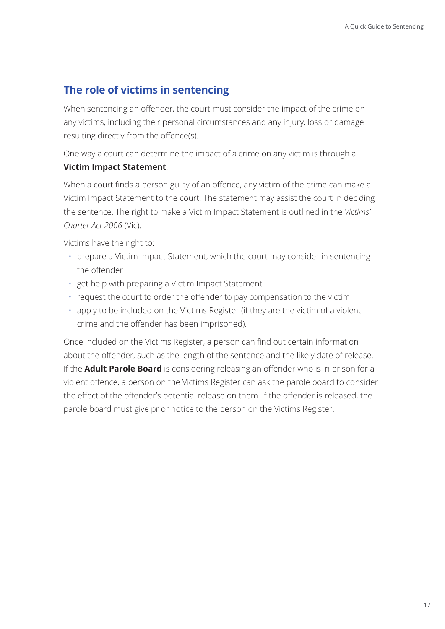## <span id="page-20-0"></span>**The role of victims in sentencing**

When sentencing an offender, the court must consider the impact of the crime on any victims, including their personal circumstances and any injury, loss or damage resulting directly from the offence(s).

One way a court can determine the impact of a crime on any victim is through a

#### **Victim Impact Statement**.

When a court finds a person guilty of an offence, any victim of the crime can make a Victim Impact Statement to the court. The statement may assist the court in deciding the sentence. The right to make a Victim Impact Statement is outlined in the *Victims' Charter Act 2006* (Vic).

Victims have the right to:

- prepare a Victim Impact Statement, which the court may consider in sentencing the offender
- get help with preparing a Victim Impact Statement
- request the court to order the offender to pay compensation to the victim
- apply to be included on the Victims Register (if they are the victim of a violent crime and the offender has been imprisoned).

Once included on the Victims Register, a person can find out certain information about the offender, such as the length of the sentence and the likely date of release. If the **Adult Parole Board** is considering releasing an offender who is in prison for a violent offence, a person on the Victims Register can ask the parole board to consider the effect of the offender's potential release on them. If the offender is released, the parole board must give prior notice to the person on the Victims Register.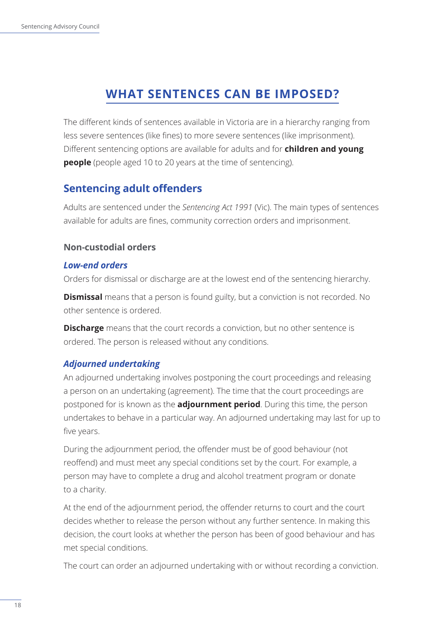# **WHAT SENTENCES CAN BE IMPOSED?**

<span id="page-21-0"></span>The different kinds of sentences available in Victoria are in a hierarchy ranging from less severe sentences (like fines) to more severe sentences (like imprisonment). Different sentencing options are available for adults and for **children and young people** (people aged 10 to 20 years at the time of sentencing).

## **Sentencing adult offenders**

Adults are sentenced under the *Sentencing Act 1991* (Vic). The main types of sentences available for adults are fines, community correction orders and imprisonment.

## **Non-custodial orders**

### *Low-end orders*

Orders for dismissal or discharge are at the lowest end of the sentencing hierarchy.

**Dismissal** means that a person is found guilty, but a conviction is not recorded. No other sentence is ordered.

**Discharge** means that the court records a conviction, but no other sentence is ordered. The person is released without any conditions.

## *Adjourned undertaking*

An adjourned undertaking involves postponing the court proceedings and releasing a person on an undertaking (agreement). The time that the court proceedings are postponed for is known as the **adjournment period**. During this time, the person undertakes to behave in a particular way. An adjourned undertaking may last for up to five years.

During the adjournment period, the offender must be of good behaviour (not reoffend) and must meet any special conditions set by the court. For example, a person may have to complete a drug and alcohol treatment program or donate to a charity.

At the end of the adjournment period, the offender returns to court and the court decides whether to release the person without any further sentence. In making this decision, the court looks at whether the person has been of good behaviour and has met special conditions.

The court can order an adjourned undertaking with or without recording a conviction.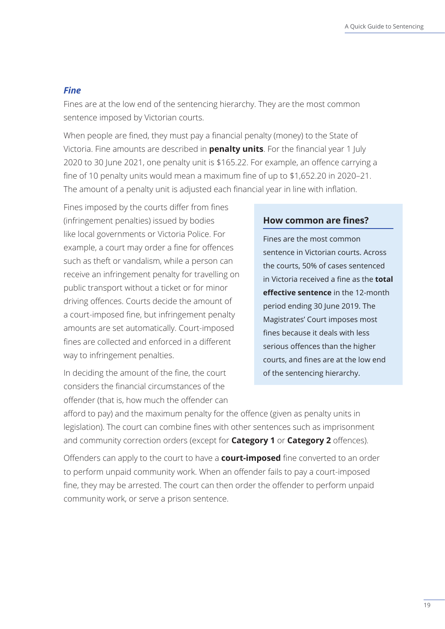#### *Fine*

Fines are at the low end of the sentencing hierarchy. They are the most common sentence imposed by Victorian courts.

When people are fined, they must pay a financial penalty (money) to the State of Victoria. Fine amounts are described in **penalty units**. For the financial year 1 July 2020 to 30 June 2021, one penalty unit is \$165.22. For example, an offence carrying a fine of 10 penalty units would mean a maximum fine of up to \$1,652.20 in 2020–21. The amount of a penalty unit is adjusted each financial year in line with inflation.

Fines imposed by the courts differ from fines (infringement penalties) issued by bodies like local governments or Victoria Police. For example, a court may order a fine for offences such as theft or vandalism, while a person can receive an infringement penalty for travelling on public transport without a ticket or for minor driving offences. Courts decide the amount of a court-imposed fine, but infringement penalty amounts are set automatically. Court-imposed fines are collected and enforced in a different way to infringement penalties.

In deciding the amount of the fine, the court considers the financial circumstances of the offender (that is, how much the offender can

#### **How common are fines?**

Fines are the most common sentence in Victorian courts. Across the courts, 50% of cases sentenced in Victoria received a fine as the **total effective sentence** in the 12-month period ending 30 June 2019. The Magistrates' Court imposes most fines because it deals with less serious offences than the higher courts, and fines are at the low end of the sentencing hierarchy.

afford to pay) and the maximum penalty for the offence (given as penalty units in legislation). The court can combine fines with other sentences such as imprisonment and community correction orders (except for **Category 1** or **Category 2** offences).

Offenders can apply to the court to have a **court-imposed** fine converted to an order to perform unpaid community work. When an offender fails to pay a court-imposed fine, they may be arrested. The court can then order the offender to perform unpaid community work, or serve a prison sentence.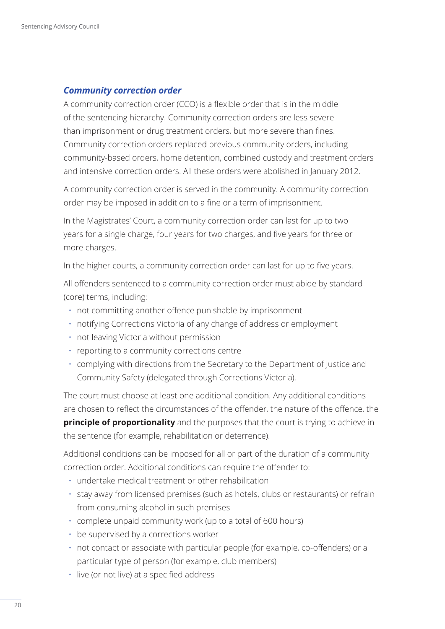#### *Community correction order*

A community correction order (CCO) is a flexible order that is in the middle of the sentencing hierarchy. Community correction orders are less severe than imprisonment or drug treatment orders, but more severe than fines. Community correction orders replaced previous community orders, including community-based orders, home detention, combined custody and treatment orders and intensive correction orders. All these orders were abolished in January 2012.

A community correction order is served in the community. A community correction order may be imposed in addition to a fine or a term of imprisonment.

In the Magistrates' Court, a community correction order can last for up to two years for a single charge, four years for two charges, and five years for three or more charges.

In the higher courts, a community correction order can last for up to five years.

All offenders sentenced to a community correction order must abide by standard (core) terms, including:

- not committing another offence punishable by imprisonment
- notifying Corrections Victoria of any change of address or employment
- not leaving Victoria without permission
- reporting to a community corrections centre
- complying with directions from the Secretary to the Department of Justice and Community Safety (delegated through Corrections Victoria).

The court must choose at least one additional condition. Any additional conditions are chosen to reflect the circumstances of the offender, the nature of the offence, the **principle of proportionality** and the purposes that the court is trying to achieve in the sentence (for example, rehabilitation or deterrence).

Additional conditions can be imposed for all or part of the duration of a community correction order. Additional conditions can require the offender to:

- undertake medical treatment or other rehabilitation
- stay away from licensed premises (such as hotels, clubs or restaurants) or refrain from consuming alcohol in such premises
- complete unpaid community work (up to a total of 600 hours)
- be supervised by a corrections worker
- not contact or associate with particular people (for example, co-offenders) or a particular type of person (for example, club members)
- live (or not live) at a specified address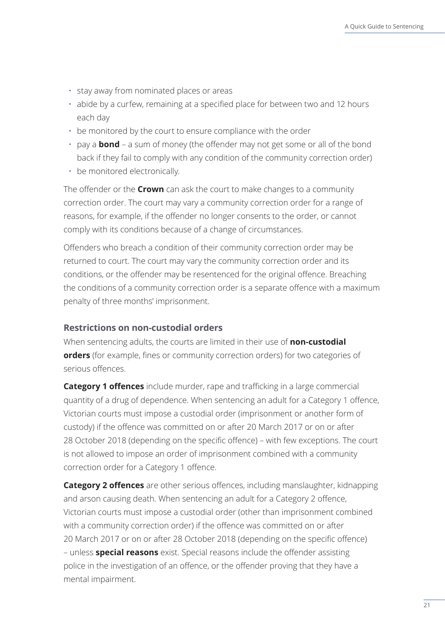- <span id="page-24-0"></span>• stay away from nominated places or areas
- abide by a curfew, remaining at a specified place for between two and 12 hours each day
- be monitored by the court to ensure compliance with the order
- pay a **bond** a sum of money (the offender may not get some or all of the bond back if they fail to comply with any condition of the community correction order)
- be monitored electronically.

The offender or the **Crown** can ask the court to make changes to a community correction order. The court may vary a community correction order for a range of reasons, for example, if the offender no longer consents to the order, or cannot comply with its conditions because of a change of circumstances.

Offenders who breach a condition of their community correction order may be returned to court. The court may vary the community correction order and its conditions, or the offender may be resentenced for the original offence. Breaching the conditions of a community correction order is a separate offence with a maximum penalty of three months' imprisonment.

#### **Restrictions on non-custodial orders**

When sentencing adults, the courts are limited in their use of **non-custodial orders** (for example, fines or community correction orders) for two categories of serious offences.

**Category 1 offences** include murder, rape and trafficking in a large commercial quantity of a drug of dependence. When sentencing an adult for a Category 1 offence, Victorian courts must impose a custodial order (imprisonment or another form of custody) if the offence was committed on or after 20 March 2017 or on or after 28 October 2018 (depending on the specific offence) – with few exceptions. The court is not allowed to impose an order of imprisonment combined with a community correction order for a Category 1 offence.

**Category 2 offences** are other serious offences, including manslaughter, kidnapping and arson causing death. When sentencing an adult for a Category 2 offence, Victorian courts must impose a custodial order (other than imprisonment combined with a community correction order) if the offence was committed on or after 20 March 2017 or on or after 28 October 2018 (depending on the specific offence) – unless **special reasons** exist. Special reasons include the offender assisting police in the investigation of an offence, or the offender proving that they have a mental impairment.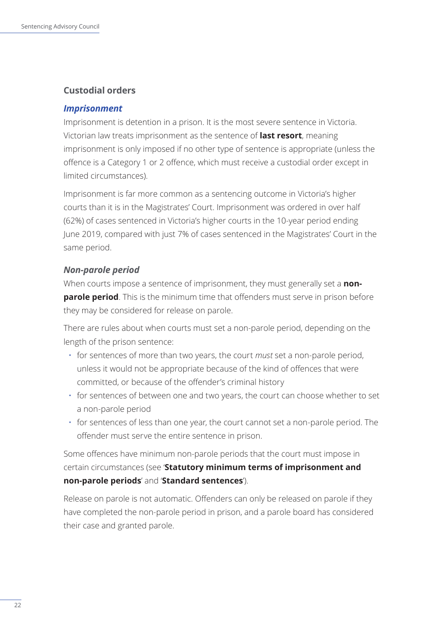#### <span id="page-25-0"></span>**Custodial orders**

#### *Imprisonment*

Imprisonment is detention in a prison. It is the most severe sentence in Victoria. Victorian law treats imprisonment as the sentence of **last resort**, meaning imprisonment is only imposed if no other type of sentence is appropriate (unless the offence is a Category 1 or 2 offence, which must receive a custodial order except in limited circumstances).

Imprisonment is far more common as a sentencing outcome in Victoria's higher courts than it is in the Magistrates' Court. Imprisonment was ordered in over half (62%) of cases sentenced in Victoria's higher courts in the 10-year period ending June 2019, compared with just 7% of cases sentenced in the Magistrates' Court in the same period.

#### *Non-parole period*

When courts impose a sentence of imprisonment, they must generally set a **nonparole period**. This is the minimum time that offenders must serve in prison before they may be considered for release on parole.

There are rules about when courts must set a non-parole period, depending on the length of the prison sentence:

- for sentences of more than two years, the court *must* set a non-parole period, unless it would not be appropriate because of the kind of offences that were committed, or because of the offender's criminal history
- for sentences of between one and two years, the court can choose whether to set a non-parole period
- for sentences of less than one year, the court cannot set a non-parole period. The offender must serve the entire sentence in prison.

Some offences have minimum non-parole periods that the court must impose in certain circumstances (see '**Statutory minimum terms of imprisonment and non-parole periods**' and '**Standard sentences**').

Release on parole is not automatic. Offenders can only be released on parole if they have completed the non-parole period in prison, and a parole board has considered their case and granted parole.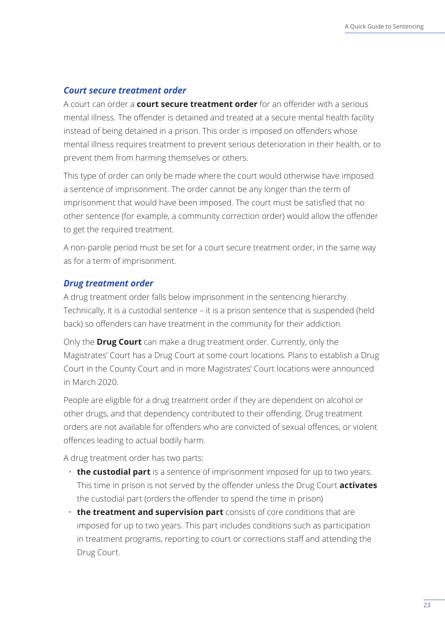#### *Court secure treatment order*

A court can order a **court secure treatment order** for an offender with a serious mental illness. The offender is detained and treated at a secure mental health facility instead of being detained in a prison. This order is imposed on offenders whose mental illness requires treatment to prevent serious deterioration in their health, or to prevent them from harming themselves or others.

This type of order can only be made where the court would otherwise have imposed a sentence of imprisonment. The order cannot be any longer than the term of imprisonment that would have been imposed. The court must be satisfied that no other sentence (for example, a community correction order) would allow the offender to get the required treatment.

A non-parole period must be set for a court secure treatment order, in the same way as for a term of imprisonment.

#### *Drug treatment order*

A drug treatment order falls below imprisonment in the sentencing hierarchy. Technically, it is a custodial sentence – it is a prison sentence that is suspended (held back) so offenders can have treatment in the community for their addiction.

Only the **Drug Court** can make a drug treatment order. Currently, only the Magistrates' Court has a Drug Court at some court locations. Plans to establish a Drug Court in the County Court and in more Magistrates' Court locations were announced in March 2020.

People are eligible for a drug treatment order if they are dependent on alcohol or other drugs, and that dependency contributed to their offending. Drug treatment orders are not available for offenders who are convicted of sexual offences, or violent offences leading to actual bodily harm.

A drug treatment order has two parts:

- **the custodial part** is a sentence of imprisonment imposed for up to two years. This time in prison is not served by the offender unless the Drug Court **activates** the custodial part (orders the offender to spend the time in prison)
- **the treatment and supervision part** consists of core conditions that are imposed for up to two years. This part includes conditions such as participation in treatment programs, reporting to court or corrections staff and attending the Drug Court.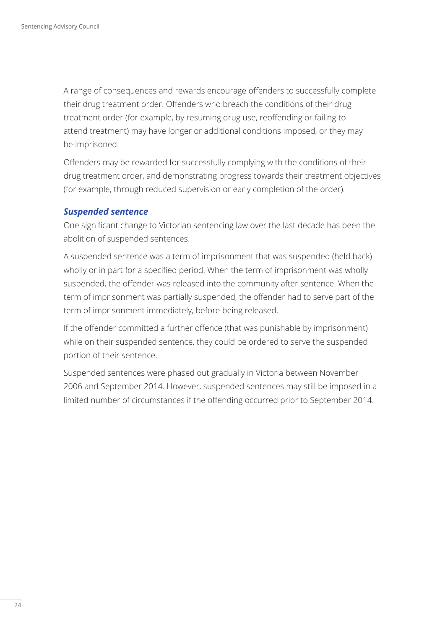A range of consequences and rewards encourage offenders to successfully complete their drug treatment order. Offenders who breach the conditions of their drug treatment order (for example, by resuming drug use, reoffending or failing to attend treatment) may have longer or additional conditions imposed, or they may be imprisoned.

Offenders may be rewarded for successfully complying with the conditions of their drug treatment order, and demonstrating progress towards their treatment objectives (for example, through reduced supervision or early completion of the order).

#### *Suspended sentence*

One significant change to Victorian sentencing law over the last decade has been the abolition of suspended sentences.

A suspended sentence was a term of imprisonment that was suspended (held back) wholly or in part for a specified period. When the term of imprisonment was wholly suspended, the offender was released into the community after sentence. When the term of imprisonment was partially suspended, the offender had to serve part of the term of imprisonment immediately, before being released.

If the offender committed a further offence (that was punishable by imprisonment) while on their suspended sentence, they could be ordered to serve the suspended portion of their sentence.

Suspended sentences were phased out gradually in Victoria between November 2006 and September 2014. However, suspended sentences may still be imposed in a limited number of circumstances if the offending occurred prior to September 2014.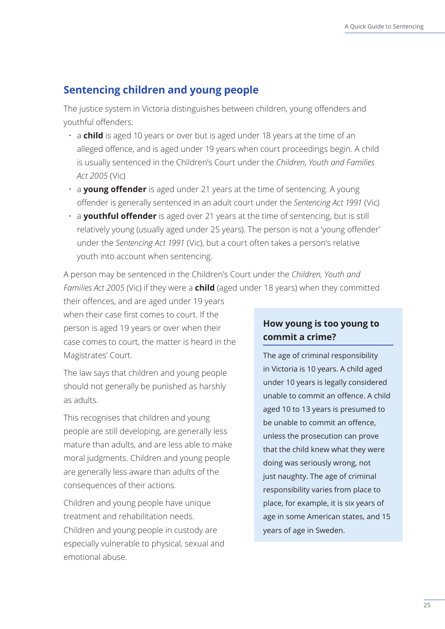## <span id="page-28-0"></span>**Sentencing children and young people**

The justice system in Victoria distinguishes between children, young offenders and youthful offenders:

- a **child** is aged 10 years or over but is aged under 18 years at the time of an alleged offence, and is aged under 19 years when court proceedings begin. A child is usually sentenced in the Children's Court under the *Children, Youth and Families Act 2005* (Vic)
- a **young offender** is aged under 21 years at the time of sentencing. A young offender is generally sentenced in an adult court under the *Sentencing Act 1991* (Vic)
- a **youthful offender** is aged over 21 years at the time of sentencing, but is still relatively young (usually aged under 25 years). The person is not a 'young offender' under the *Sentencing Act 1991* (Vic), but a court often takes a person's relative youth into account when sentencing.

A person may be sentenced in the Children's Court under the *Children, Youth and Families Act 2005* (Vic) if they were a **child** (aged under 18 years) when they committed

their offences, and are aged under 19 years when their case first comes to court. If the person is aged 19 years or over when their case comes to court, the matter is heard in the Magistrates' Court.

The law says that children and young people should not generally be punished as harshly as adults.

This recognises that children and young people are still developing, are generally less mature than adults, and are less able to make moral judgments. Children and young people are generally less aware than adults of the consequences of their actions.

Children and young people have unique treatment and rehabilitation needs. Children and young people in custody are especially vulnerable to physical, sexual and emotional abuse.

## **How young is too young to commit a crime?**

The age of criminal responsibility in Victoria is 10 years. A child aged under 10 years is legally considered unable to commit an offence. A child aged 10 to 13 years is presumed to be unable to commit an offence, unless the prosecution can prove that the child knew what they were doing was seriously wrong, not just naughty. The age of criminal responsibility varies from place to place, for example, it is six years of age in some American states, and 15 years of age in Sweden.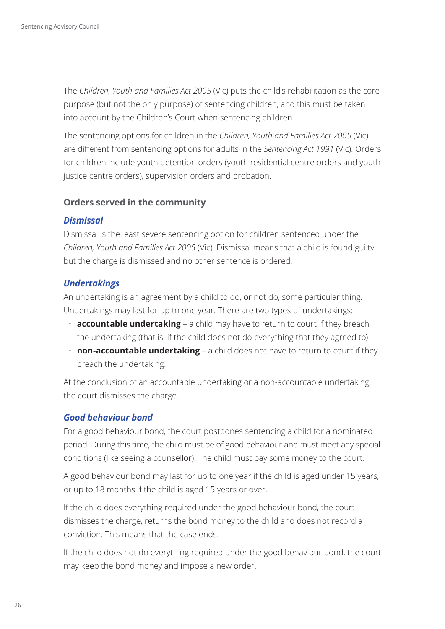<span id="page-29-0"></span>The *Children, Youth and Families Act 2005* (Vic) puts the child's rehabilitation as the core purpose (but not the only purpose) of sentencing children, and this must be taken into account by the Children's Court when sentencing children.

The sentencing options for children in the *Children, Youth and Families Act 2005* (Vic) are different from sentencing options for adults in the *Sentencing Act 1991* (Vic). Orders for children include youth detention orders (youth residential centre orders and youth justice centre orders), supervision orders and probation.

#### **Orders served in the community**

#### *Dismissal*

Dismissal is the least severe sentencing option for children sentenced under the *Children, Youth and Families Act 2005* (Vic). Dismissal means that a child is found guilty, but the charge is dismissed and no other sentence is ordered.

#### *Undertakings*

An undertaking is an agreement by a child to do, or not do, some particular thing. Undertakings may last for up to one year. There are two types of undertakings:

- **accountable undertaking** a child may have to return to court if they breach the undertaking (that is, if the child does not do everything that they agreed to)
- **non-accountable undertaking** a child does not have to return to court if they breach the undertaking.

At the conclusion of an accountable undertaking or a non-accountable undertaking, the court dismisses the charge.

#### *Good behaviour bond*

For a good behaviour bond, the court postpones sentencing a child for a nominated period. During this time, the child must be of good behaviour and must meet any special conditions (like seeing a counsellor). The child must pay some money to the court.

A good behaviour bond may last for up to one year if the child is aged under 15 years, or up to 18 months if the child is aged 15 years or over.

If the child does everything required under the good behaviour bond, the court dismisses the charge, returns the bond money to the child and does not record a conviction. This means that the case ends.

If the child does not do everything required under the good behaviour bond, the court may keep the bond money and impose a new order.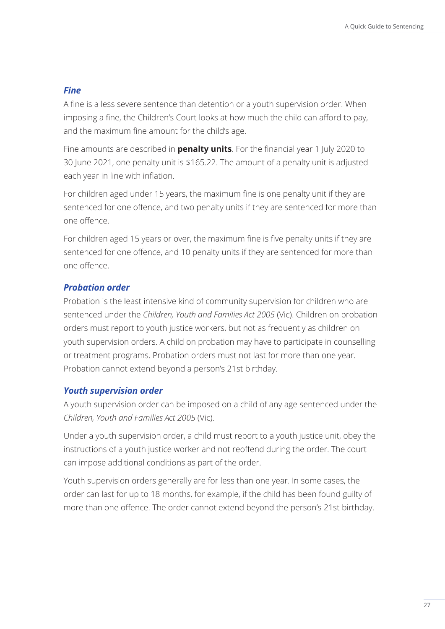#### *Fine*

A fine is a less severe sentence than detention or a youth supervision order. When imposing a fine, the Children's Court looks at how much the child can afford to pay, and the maximum fine amount for the child's age.

Fine amounts are described in **penalty units**. For the financial year 1 July 2020 to 30 June 2021, one penalty unit is \$165.22. The amount of a penalty unit is adjusted each year in line with inflation.

For children aged under 15 years, the maximum fine is one penalty unit if they are sentenced for one offence, and two penalty units if they are sentenced for more than one offence.

For children aged 15 years or over, the maximum fine is five penalty units if they are sentenced for one offence, and 10 penalty units if they are sentenced for more than one offence.

#### *Probation order*

Probation is the least intensive kind of community supervision for children who are sentenced under the *Children, Youth and Families Act 2005* (Vic). Children on probation orders must report to youth justice workers, but not as frequently as children on youth supervision orders. A child on probation may have to participate in counselling or treatment programs. Probation orders must not last for more than one year. Probation cannot extend beyond a person's 21st birthday.

#### *Youth supervision order*

A youth supervision order can be imposed on a child of any age sentenced under the *Children, Youth and Families Act 2005* (Vic).

Under a youth supervision order, a child must report to a youth justice unit, obey the instructions of a youth justice worker and not reoffend during the order. The court can impose additional conditions as part of the order.

Youth supervision orders generally are for less than one year. In some cases, the order can last for up to 18 months, for example, if the child has been found guilty of more than one offence. The order cannot extend beyond the person's 21st birthday.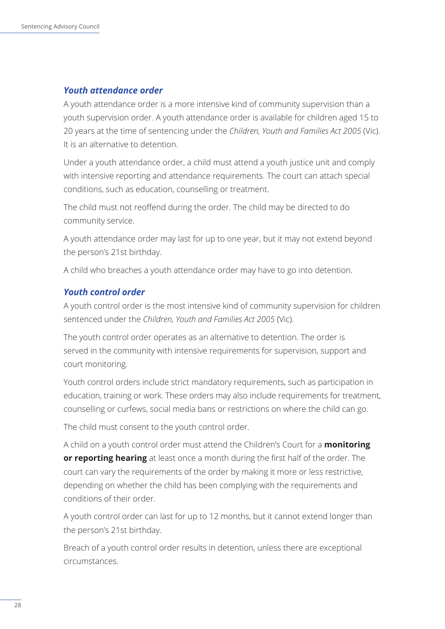#### *Youth attendance order*

A youth attendance order is a more intensive kind of community supervision than a youth supervision order. A youth attendance order is available for children aged 15 to 20 years at the time of sentencing under the *Children, Youth and Families Act 2005* (Vic). It is an alternative to detention.

Under a youth attendance order, a child must attend a youth justice unit and comply with intensive reporting and attendance requirements. The court can attach special conditions, such as education, counselling or treatment.

The child must not reoffend during the order. The child may be directed to do community service.

A youth attendance order may last for up to one year, but it may not extend beyond the person's 21st birthday.

A child who breaches a youth attendance order may have to go into detention.

#### *Youth control order*

A youth control order is the most intensive kind of community supervision for children sentenced under the *Children, Youth and Families Act 2005* (Vic).

The youth control order operates as an alternative to detention. The order is served in the community with intensive requirements for supervision, support and court monitoring.

Youth control orders include strict mandatory requirements, such as participation in education, training or work. These orders may also include requirements for treatment, counselling or curfews, social media bans or restrictions on where the child can go.

The child must consent to the youth control order.

A child on a youth control order must attend the Children's Court for a **monitoring or reporting hearing** at least once a month during the first half of the order. The court can vary the requirements of the order by making it more or less restrictive, depending on whether the child has been complying with the requirements and conditions of their order.

A youth control order can last for up to 12 months, but it cannot extend longer than the person's 21st birthday.

Breach of a youth control order results in detention, unless there are exceptional circumstances.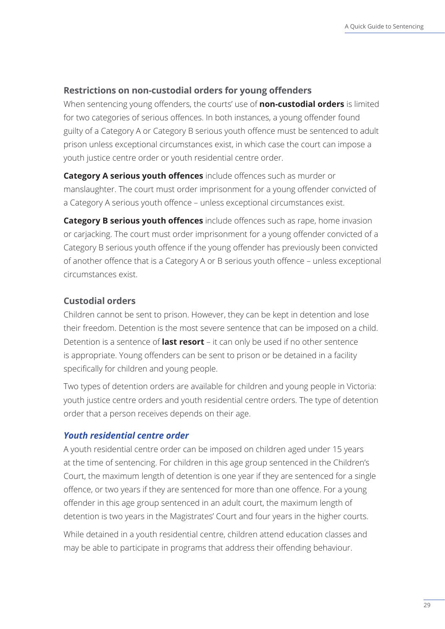#### <span id="page-32-0"></span>**Restrictions on non-custodial orders for young offenders**

When sentencing young offenders, the courts' use of **non-custodial orders** is limited for two categories of serious offences. In both instances, a young offender found guilty of a Category A or Category B serious youth offence must be sentenced to adult prison unless exceptional circumstances exist, in which case the court can impose a youth justice centre order or youth residential centre order.

**Category A serious youth offences** include offences such as murder or manslaughter. The court must order imprisonment for a young offender convicted of a Category A serious youth offence – unless exceptional circumstances exist.

**Category B serious youth offences** include offences such as rape, home invasion or carjacking. The court must order imprisonment for a young offender convicted of a Category B serious youth offence if the young offender has previously been convicted of another offence that is a Category A or B serious youth offence – unless exceptional circumstances exist.

#### **Custodial orders**

Children cannot be sent to prison. However, they can be kept in detention and lose their freedom. Detention is the most severe sentence that can be imposed on a child. Detention is a sentence of **last resort** – it can only be used if no other sentence is appropriate. Young offenders can be sent to prison or be detained in a facility specifically for children and young people.

Two types of detention orders are available for children and young people in Victoria: youth justice centre orders and youth residential centre orders. The type of detention order that a person receives depends on their age.

#### *Youth residential centre order*

A youth residential centre order can be imposed on children aged under 15 years at the time of sentencing. For children in this age group sentenced in the Children's Court, the maximum length of detention is one year if they are sentenced for a single offence, or two years if they are sentenced for more than one offence. For a young offender in this age group sentenced in an adult court, the maximum length of detention is two years in the Magistrates' Court and four years in the higher courts.

While detained in a youth residential centre, children attend education classes and may be able to participate in programs that address their offending behaviour.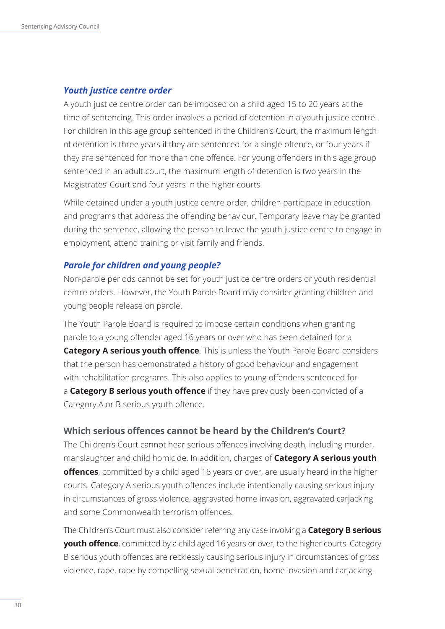#### <span id="page-33-0"></span>*Youth justice centre order*

A youth justice centre order can be imposed on a child aged 15 to 20 years at the time of sentencing. This order involves a period of detention in a youth justice centre. For children in this age group sentenced in the Children's Court, the maximum length of detention is three years if they are sentenced for a single offence, or four years if they are sentenced for more than one offence. For young offenders in this age group sentenced in an adult court, the maximum length of detention is two years in the Magistrates' Court and four years in the higher courts.

While detained under a youth justice centre order, children participate in education and programs that address the offending behaviour. Temporary leave may be granted during the sentence, allowing the person to leave the youth justice centre to engage in employment, attend training or visit family and friends.

#### *Parole for children and young people?*

Non-parole periods cannot be set for youth justice centre orders or youth residential centre orders. However, the Youth Parole Board may consider granting children and young people release on parole.

The Youth Parole Board is required to impose certain conditions when granting parole to a young offender aged 16 years or over who has been detained for a **Category A serious youth offence**. This is unless the Youth Parole Board considers that the person has demonstrated a history of good behaviour and engagement with rehabilitation programs. This also applies to young offenders sentenced for a **Category B serious youth offence** if they have previously been convicted of a Category A or B serious youth offence.

#### **Which serious offences cannot be heard by the Children's Court?**

The Children's Court cannot hear serious offences involving death, including murder, manslaughter and child homicide. In addition, charges of **Category A serious youth offences**, committed by a child aged 16 years or over, are usually heard in the higher courts. Category A serious youth offences include intentionally causing serious injury in circumstances of gross violence, aggravated home invasion, aggravated carjacking and some Commonwealth terrorism offences.

The Children's Court must also consider referring any case involving a **Category B serious youth offence**, committed by a child aged 16 years or over, to the higher courts. Category B serious youth offences are recklessly causing serious injury in circumstances of gross violence, rape, rape by compelling sexual penetration, home invasion and carjacking.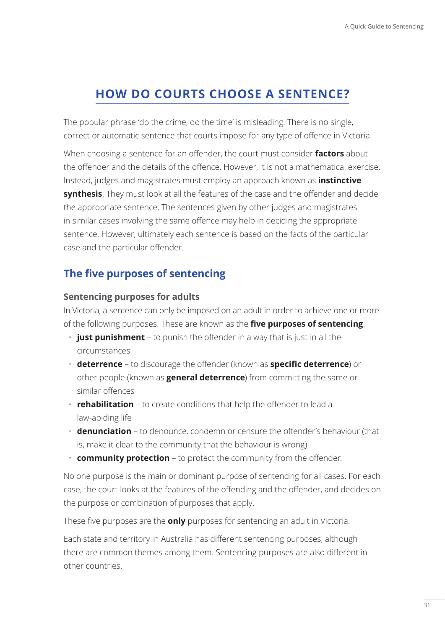# <span id="page-34-0"></span>**HOW DO COURTS CHOOSE A SENTENCE?**

The popular phrase 'do the crime, do the time' is misleading. There is no single, correct or automatic sentence that courts impose for any type of offence in Victoria.

When choosing a sentence for an offender, the court must consider **factors** about the offender and the details of the offence. However, it is not a mathematical exercise. Instead, judges and magistrates must employ an approach known as **instinctive synthesis**. They must look at all the features of the case and the offender and decide the appropriate sentence. The sentences given by other judges and magistrates in similar cases involving the same offence may help in deciding the appropriate sentence. However, ultimately each sentence is based on the facts of the particular case and the particular offender.

## **The five purposes of sentencing**

#### **Sentencing purposes for adults**

In Victoria, a sentence can only be imposed on an adult in order to achieve one or more of the following purposes. These are known as the **five purposes of sentencing**:

- **just punishment** to punish the offender in a way that is just in all the circumstances
- **deterrence** to discourage the offender (known as **specific deterrence**) or other people (known as **general deterrence**) from committing the same or similar offences
- **rehabilitation** to create conditions that help the offender to lead a law-abiding life
- **denunciation** to denounce, condemn or censure the offender's behaviour (that is, make it clear to the community that the behaviour is wrong)
- **community protection** to protect the community from the offender.

No one purpose is the main or dominant purpose of sentencing for all cases. For each case, the court looks at the features of the offending and the offender, and decides on the purpose or combination of purposes that apply.

These five purposes are the **only** purposes for sentencing an adult in Victoria.

Each state and territory in Australia has different sentencing purposes, although there are common themes among them. Sentencing purposes are also different in other countries.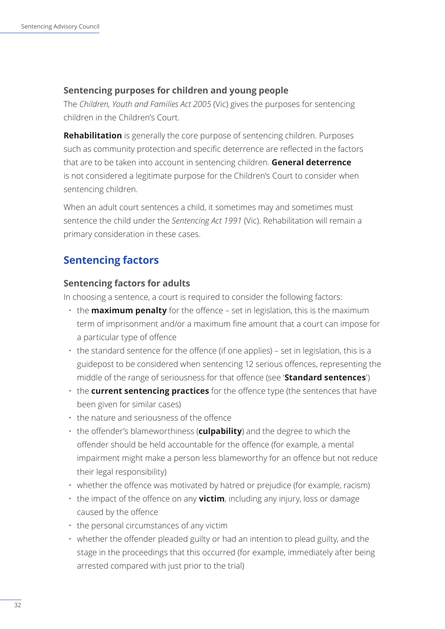#### <span id="page-35-0"></span>**Sentencing purposes for children and young people**

The *Children, Youth and Families Act 2005* (Vic) gives the purposes for sentencing children in the Children's Court.

**Rehabilitation** is generally the core purpose of sentencing children. Purposes such as community protection and specific deterrence are reflected in the factors that are to be taken into account in sentencing children. **General deterrence**  is not considered a legitimate purpose for the Children's Court to consider when sentencing children.

When an adult court sentences a child, it sometimes may and sometimes must sentence the child under the *Sentencing Act 1991* (Vic). Rehabilitation will remain a primary consideration in these cases.

## **Sentencing factors**

#### **Sentencing factors for adults**

In choosing a sentence, a court is required to consider the following factors:

- the **maximum penalty** for the offence set in legislation, this is the maximum term of imprisonment and/or a maximum fine amount that a court can impose for a particular type of offence
- the standard sentence for the offence (if one applies) set in legislation, this is a guidepost to be considered when sentencing 12 serious offences, representing the middle of the range of seriousness for that offence (see '**Standard sentences**')
- the **current sentencing practices** for the offence type (the sentences that have been given for similar cases)
- the nature and seriousness of the offence
- the offender's blameworthiness (**culpability**) and the degree to which the offender should be held accountable for the offence (for example, a mental impairment might make a person less blameworthy for an offence but not reduce their legal responsibility)
- whether the offence was motivated by hatred or prejudice (for example, racism)
- the impact of the offence on any **victim**, including any injury, loss or damage caused by the offence
- the personal circumstances of any victim
- whether the offender pleaded guilty or had an intention to plead guilty, and the stage in the proceedings that this occurred (for example, immediately after being arrested compared with just prior to the trial)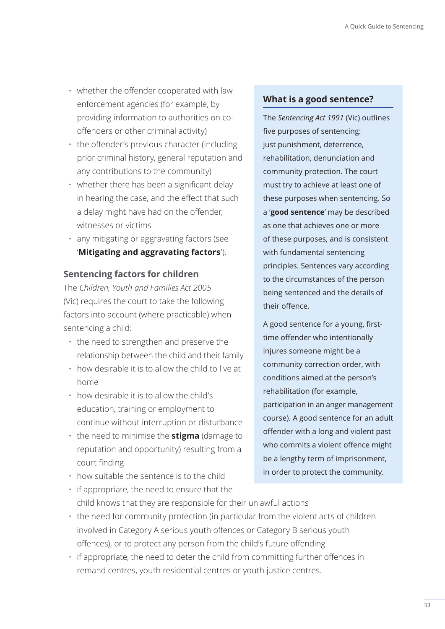- <span id="page-36-0"></span>• whether the offender cooperated with law enforcement agencies (for example, by providing information to authorities on cooffenders or other criminal activity)
- the offender's previous character (including prior criminal history, general reputation and any contributions to the community)
- whether there has been a significant delay in hearing the case, and the effect that such a delay might have had on the offender, witnesses or victims
- any mitigating or aggravating factors (see '**Mitigating and aggravating factors**').

#### **Sentencing factors for children**

The *Children, Youth and Families Act 2005* (Vic) requires the court to take the following factors into account (where practicable) when sentencing a child:

- the need to strengthen and preserve the relationship between the child and their family
- how desirable it is to allow the child to live at home
- how desirable it is to allow the child's education, training or employment to continue without interruption or disturbance
- the need to minimise the **stigma** (damage to reputation and opportunity) resulting from a court finding
- how suitable the sentence is to the child

#### **What is a good sentence?**

The *Sentencing Act 1991* (Vic) outlines five purposes of sentencing: just punishment, deterrence, rehabilitation, denunciation and community protection. The court must try to achieve at least one of these purposes when sentencing. So a '**good sentence**' may be described as one that achieves one or more of these purposes, and is consistent with fundamental sentencing principles. Sentences vary according to the circumstances of the person being sentenced and the details of their offence.

A good sentence for a young, firsttime offender who intentionally injures someone might be a community correction order, with conditions aimed at the person's rehabilitation (for example, participation in an anger management course). A good sentence for an adult offender with a long and violent past who commits a violent offence might be a lengthy term of imprisonment, in order to protect the community.

- if appropriate, the need to ensure that the child knows that they are responsible for their unlawful actions
- the need for community protection (in particular from the violent acts of children involved in Category A serious youth offences or Category B serious youth offences), or to protect any person from the child's future offending
- if appropriate, the need to deter the child from committing further offences in remand centres, youth residential centres or youth justice centres.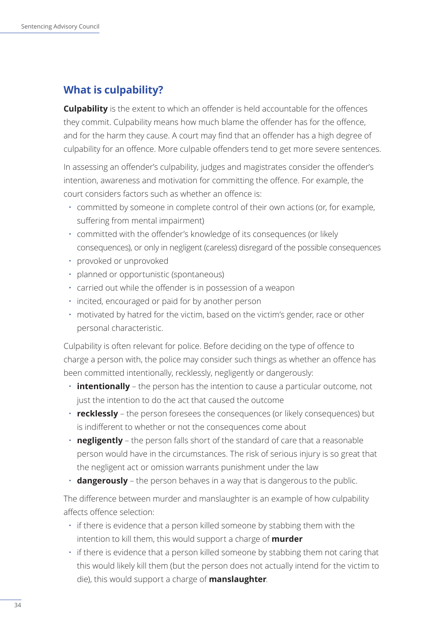## <span id="page-37-0"></span>**What is culpability?**

**Culpability** is the extent to which an offender is held accountable for the offences they commit. Culpability means how much blame the offender has for the offence, and for the harm they cause. A court may find that an offender has a high degree of culpability for an offence. More culpable offenders tend to get more severe sentences.

In assessing an offender's culpability, judges and magistrates consider the offender's intention, awareness and motivation for committing the offence. For example, the court considers factors such as whether an offence is:

- committed by someone in complete control of their own actions (or, for example, suffering from mental impairment)
- committed with the offender's knowledge of its consequences (or likely consequences), or only in negligent (careless) disregard of the possible consequences
- provoked or unprovoked
- planned or opportunistic (spontaneous)
- carried out while the offender is in possession of a weapon
- incited, encouraged or paid for by another person
- motivated by hatred for the victim, based on the victim's gender, race or other personal characteristic.

Culpability is often relevant for police. Before deciding on the type of offence to charge a person with, the police may consider such things as whether an offence has been committed intentionally, recklessly, negligently or dangerously:

- **intentionally** the person has the intention to cause a particular outcome, not just the intention to do the act that caused the outcome
- **recklessly** the person foresees the consequences (or likely consequences) but is indifferent to whether or not the consequences come about
- **negligently** the person falls short of the standard of care that a reasonable person would have in the circumstances. The risk of serious injury is so great that the negligent act or omission warrants punishment under the law
- **dangerously** the person behaves in a way that is dangerous to the public.

The difference between murder and manslaughter is an example of how culpability affects offence selection:

- if there is evidence that a person killed someone by stabbing them with the intention to kill them, this would support a charge of **murder**
- if there is evidence that a person killed someone by stabbing them not caring that this would likely kill them (but the person does not actually intend for the victim to die), this would support a charge of **manslaughter**.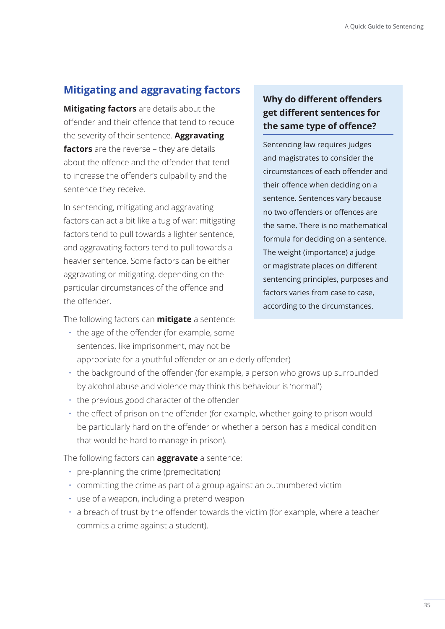## <span id="page-38-0"></span>**Mitigating and aggravating factors**

**Mitigating factors** are details about the offender and their offence that tend to reduce the severity of their sentence. **Aggravating factors** are the reverse – they are details about the offence and the offender that tend to increase the offender's culpability and the sentence they receive.

In sentencing, mitigating and aggravating factors can act a bit like a tug of war: mitigating factors tend to pull towards a lighter sentence, and aggravating factors tend to pull towards a heavier sentence. Some factors can be either aggravating or mitigating, depending on the particular circumstances of the offence and the offender.

## **Why do different offenders get different sentences for the same type of offence?**

Sentencing law requires judges and magistrates to consider the circumstances of each offender and their offence when deciding on a sentence. Sentences vary because no two offenders or offences are the same. There is no mathematical formula for deciding on a sentence. The weight (importance) a judge or magistrate places on different sentencing principles, purposes and factors varies from case to case, according to the circumstances.

The following factors can **mitigate** a sentence:

- the age of the offender (for example, some sentences, like imprisonment, may not be appropriate for a youthful offender or an elderly offender)
- the background of the offender (for example, a person who grows up surrounded by alcohol abuse and violence may think this behaviour is 'normal')
- the previous good character of the offender
- the effect of prison on the offender (for example, whether going to prison would be particularly hard on the offender or whether a person has a medical condition that would be hard to manage in prison).

The following factors can **aggravate** a sentence:

- pre-planning the crime (premeditation)
- committing the crime as part of a group against an outnumbered victim
- use of a weapon, including a pretend weapon
- a breach of trust by the offender towards the victim (for example, where a teacher commits a crime against a student).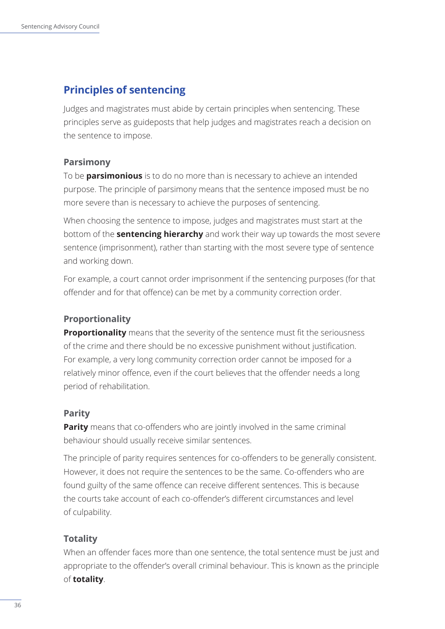## <span id="page-39-0"></span>**Principles of sentencing**

Judges and magistrates must abide by certain principles when sentencing. These principles serve as guideposts that help judges and magistrates reach a decision on the sentence to impose.

#### **Parsimony**

To be **parsimonious** is to do no more than is necessary to achieve an intended purpose. The principle of parsimony means that the sentence imposed must be no more severe than is necessary to achieve the purposes of sentencing.

When choosing the sentence to impose, judges and magistrates must start at the bottom of the **sentencing hierarchy** and work their way up towards the most severe sentence (imprisonment), rather than starting with the most severe type of sentence and working down.

For example, a court cannot order imprisonment if the sentencing purposes (for that offender and for that offence) can be met by a community correction order.

#### **Proportionality**

**Proportionality** means that the severity of the sentence must fit the seriousness of the crime and there should be no excessive punishment without justification. For example, a very long community correction order cannot be imposed for a relatively minor offence, even if the court believes that the offender needs a long period of rehabilitation.

#### **Parity**

**Parity** means that co-offenders who are jointly involved in the same criminal behaviour should usually receive similar sentences.

The principle of parity requires sentences for co-offenders to be generally consistent. However, it does not require the sentences to be the same. Co-offenders who are found guilty of the same offence can receive different sentences. This is because the courts take account of each co-offender's different circumstances and level of culpability.

#### **Totality**

When an offender faces more than one sentence, the total sentence must be just and appropriate to the offender's overall criminal behaviour. This is known as the principle of **totality**.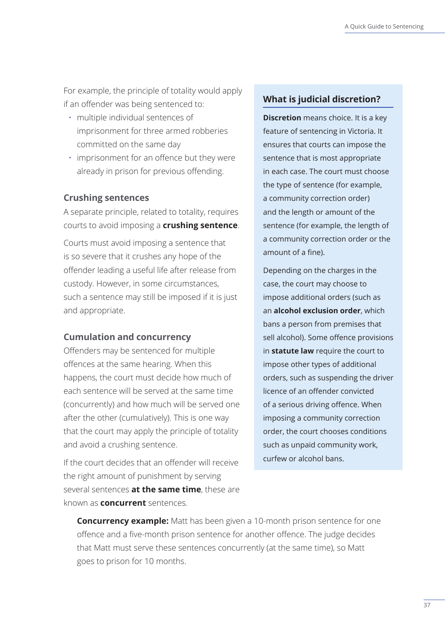<span id="page-40-0"></span>For example, the principle of totality would apply if an offender was being sentenced to:

- multiple individual sentences of imprisonment for three armed robberies committed on the same day
- imprisonment for an offence but they were already in prison for previous offending.

#### **Crushing sentences**

A separate principle, related to totality, requires courts to avoid imposing a **crushing sentence**.

Courts must avoid imposing a sentence that is so severe that it crushes any hope of the offender leading a useful life after release from custody. However, in some circumstances, such a sentence may still be imposed if it is just and appropriate.

#### **Cumulation and concurrency**

Offenders may be sentenced for multiple offences at the same hearing. When this happens, the court must decide how much of each sentence will be served at the same time (concurrently) and how much will be served one after the other (cumulatively). This is one way that the court may apply the principle of totality and avoid a crushing sentence.

If the court decides that an offender will receive the right amount of punishment by serving several sentences **at the same time**, these are known as **concurrent** sentences.

#### **What is judicial discretion?**

**Discretion** means choice. It is a key feature of sentencing in Victoria. It ensures that courts can impose the sentence that is most appropriate in each case. The court must choose the type of sentence (for example, a community correction order) and the length or amount of the sentence (for example, the length of a community correction order or the amount of a fine).

Depending on the charges in the case, the court may choose to impose additional orders (such as an **alcohol exclusion order**, which bans a person from premises that sell alcohol). Some offence provisions in **statute law** require the court to impose other types of additional orders, such as suspending the driver licence of an offender convicted of a serious driving offence. When imposing a community correction order, the court chooses conditions such as unpaid community work, curfew or alcohol bans.

**Concurrency example:** Matt has been given a 10-month prison sentence for one offence and a five-month prison sentence for another offence. The judge decides that Matt must serve these sentences concurrently (at the same time), so Matt goes to prison for 10 months.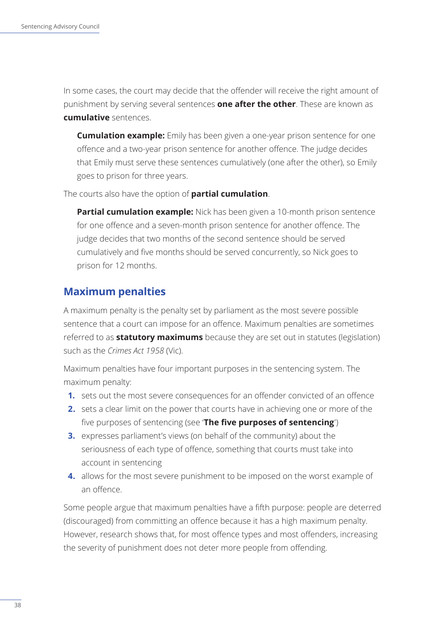<span id="page-41-0"></span>In some cases, the court may decide that the offender will receive the right amount of punishment by serving several sentences **one after the other**. These are known as **cumulative** sentences.

**Cumulation example:** Emily has been given a one-year prison sentence for one offence and a two-year prison sentence for another offence. The judge decides that Emily must serve these sentences cumulatively (one after the other), so Emily goes to prison for three years.

The courts also have the option of **partial cumulation**.

**Partial cumulation example:** Nick has been given a 10-month prison sentence for one offence and a seven-month prison sentence for another offence. The judge decides that two months of the second sentence should be served cumulatively and five months should be served concurrently, so Nick goes to prison for 12 months.

## **Maximum penalties**

A maximum penalty is the penalty set by parliament as the most severe possible sentence that a court can impose for an offence. Maximum penalties are sometimes referred to as **statutory maximums** because they are set out in statutes (legislation) such as the *Crimes Act 1958* (Vic).

Maximum penalties have four important purposes in the sentencing system. The maximum penalty:

- **1.** sets out the most severe consequences for an offender convicted of an offence
- **2.** sets a clear limit on the power that courts have in achieving one or more of the five purposes of sentencing (see '**The five purposes of sentencing**')
- **3.** expresses parliament's views (on behalf of the community) about the seriousness of each type of offence, something that courts must take into account in sentencing
- **4.** allows for the most severe punishment to be imposed on the worst example of an offence.

Some people argue that maximum penalties have a fifth purpose: people are deterred (discouraged) from committing an offence because it has a high maximum penalty. However, research shows that, for most offence types and most offenders, increasing the severity of punishment does not deter more people from offending.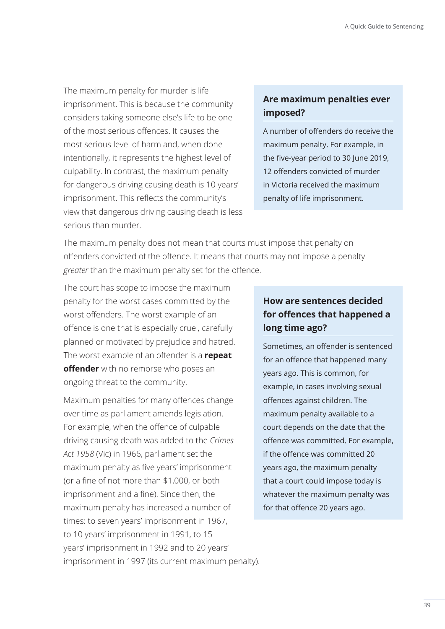The maximum penalty for murder is life imprisonment. This is because the community considers taking someone else's life to be one of the most serious offences. It causes the most serious level of harm and, when done intentionally, it represents the highest level of culpability. In contrast, the maximum penalty for dangerous driving causing death is 10 years' imprisonment. This reflects the community's view that dangerous driving causing death is less serious than murder.

## **Are maximum penalties ever imposed?**

A number of offenders do receive the maximum penalty. For example, in the five-year period to 30 June 2019, 12 offenders convicted of murder in Victoria received the maximum penalty of life imprisonment.

The maximum penalty does not mean that courts must impose that penalty on offenders convicted of the offence. It means that courts may not impose a penalty *greater* than the maximum penalty set for the offence.

The court has scope to impose the maximum penalty for the worst cases committed by the worst offenders. The worst example of an offence is one that is especially cruel, carefully planned or motivated by prejudice and hatred. The worst example of an offender is a **repeat offender** with no remorse who poses an ongoing threat to the community.

Maximum penalties for many offences change over time as parliament amends legislation. For example, when the offence of culpable driving causing death was added to the *Crimes Act 1958* (Vic) in 1966, parliament set the maximum penalty as five years' imprisonment (or a fine of not more than \$1,000, or both imprisonment and a fine). Since then, the maximum penalty has increased a number of times: to seven years' imprisonment in 1967, to 10 years' imprisonment in 1991, to 15 years' imprisonment in 1992 and to 20 years' imprisonment in 1997 (its current maximum penalty).

## **How are sentences decided for offences that happened a long time ago?**

Sometimes, an offender is sentenced for an offence that happened many years ago. This is common, for example, in cases involving sexual offences against children. The maximum penalty available to a court depends on the date that the offence was committed. For example, if the offence was committed 20 years ago, the maximum penalty that a court could impose today is whatever the maximum penalty was for that offence 20 years ago.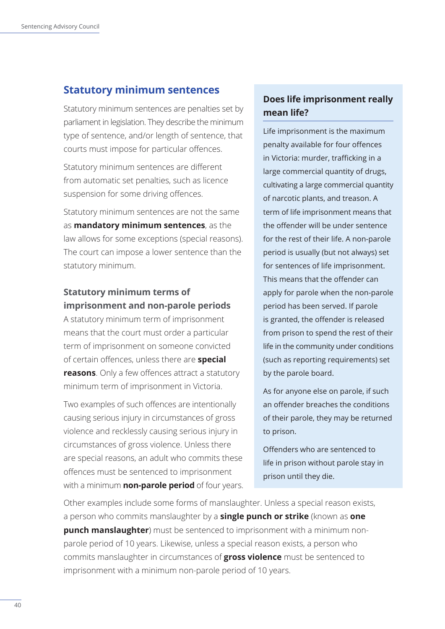### <span id="page-43-0"></span>**Statutory minimum sentences**

Statutory minimum sentences are penalties set by parliament in legislation. They describe the minimum type of sentence, and/or length of sentence, that courts must impose for particular offences.

Statutory minimum sentences are different from automatic set penalties, such as licence suspension for some driving offences.

Statutory minimum sentences are not the same as **mandatory minimum sentences**, as the law allows for some exceptions (special reasons). The court can impose a lower sentence than the statutory minimum.

## **Statutory minimum terms of imprisonment and non-parole periods**

A statutory minimum term of imprisonment means that the court must order a particular term of imprisonment on someone convicted of certain offences, unless there are **special reasons**. Only a few offences attract a statutory minimum term of imprisonment in Victoria.

Two examples of such offences are intentionally causing serious injury in circumstances of gross violence and recklessly causing serious injury in circumstances of gross violence. Unless there are special reasons, an adult who commits these offences must be sentenced to imprisonment with a minimum **non-parole period** of four years.

## **Does life imprisonment really mean life?**

Life imprisonment is the maximum penalty available for four offences in Victoria: murder, trafficking in a large commercial quantity of drugs, cultivating a large commercial quantity of narcotic plants, and treason. A term of life imprisonment means that the offender will be under sentence for the rest of their life. A non-parole period is usually (but not always) set for sentences of life imprisonment. This means that the offender can apply for parole when the non-parole period has been served. If parole is granted, the offender is released from prison to spend the rest of their life in the community under conditions (such as reporting requirements) set by the parole board.

As for anyone else on parole, if such an offender breaches the conditions of their parole, they may be returned to prison.

Offenders who are sentenced to life in prison without parole stay in prison until they die.

Other examples include some forms of manslaughter. Unless a special reason exists, a person who commits manslaughter by a **single punch or strike** (known as **one punch manslaughter**) must be sentenced to imprisonment with a minimum nonparole period of 10 years. Likewise, unless a special reason exists, a person who commits manslaughter in circumstances of **gross violence** must be sentenced to imprisonment with a minimum non-parole period of 10 years.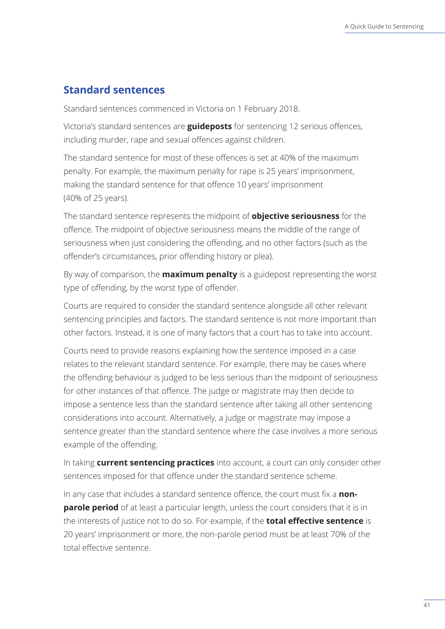### <span id="page-44-0"></span>**Standard sentences**

Standard sentences commenced in Victoria on 1 February 2018.

Victoria's standard sentences are **guideposts** for sentencing 12 serious offences, including murder, rape and sexual offences against children.

The standard sentence for most of these offences is set at 40% of the maximum penalty. For example, the maximum penalty for rape is 25 years' imprisonment, making the standard sentence for that offence 10 years' imprisonment (40% of 25 years).

The standard sentence represents the midpoint of **objective seriousness** for the offence. The midpoint of objective seriousness means the middle of the range of seriousness when just considering the offending, and no other factors (such as the offender's circumstances, prior offending history or plea).

By way of comparison, the **maximum penalty** is a guidepost representing the worst type of offending, by the worst type of offender.

Courts are required to consider the standard sentence alongside all other relevant sentencing principles and factors. The standard sentence is not more important than other factors. Instead, it is one of many factors that a court has to take into account.

Courts need to provide reasons explaining how the sentence imposed in a case relates to the relevant standard sentence. For example, there may be cases where the offending behaviour is judged to be less serious than the midpoint of seriousness for other instances of that offence. The judge or magistrate may then decide to impose a sentence less than the standard sentence after taking all other sentencing considerations into account. Alternatively, a judge or magistrate may impose a sentence greater than the standard sentence where the case involves a more serious example of the offending.

In taking **current sentencing practices** into account, a court can only consider other sentences imposed for that offence under the standard sentence scheme.

In any case that includes a standard sentence offence, the court must fix a **nonparole period** of at least a particular length, unless the court considers that it is in the interests of justice not to do so. For example, if the **total effective sentence** is 20 years' imprisonment or more, the non-parole period must be at least 70% of the total effective sentence.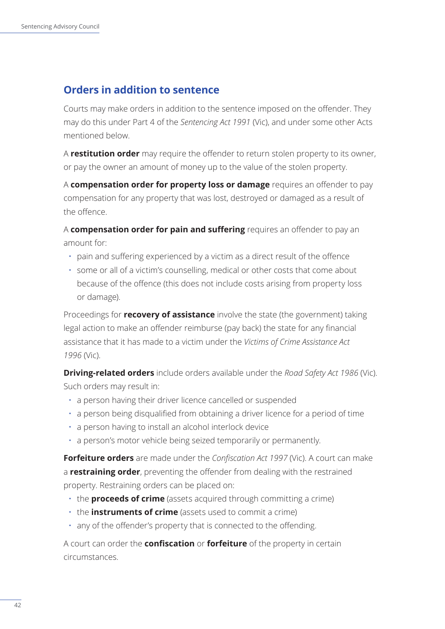## <span id="page-45-0"></span>**Orders in addition to sentence**

Courts may make orders in addition to the sentence imposed on the offender. They may do this under Part 4 of the *Sentencing Act 1991* (Vic), and under some other Acts mentioned below.

A **restitution order** may require the offender to return stolen property to its owner, or pay the owner an amount of money up to the value of the stolen property.

A **compensation order for property loss or damage** requires an offender to pay compensation for any property that was lost, destroyed or damaged as a result of the offence.

A **compensation order for pain and suffering** requires an offender to pay an amount for:

- pain and suffering experienced by a victim as a direct result of the offence
- some or all of a victim's counselling, medical or other costs that come about because of the offence (this does not include costs arising from property loss or damage).

Proceedings for **recovery of assistance** involve the state (the government) taking legal action to make an offender reimburse (pay back) the state for any financial assistance that it has made to a victim under the *Victims of Crime Assistance Act 1996* (Vic).

**Driving-related orders** include orders available under the *Road Safety Act 1986* (Vic). Such orders may result in:

- a person having their driver licence cancelled or suspended
- a person being disqualified from obtaining a driver licence for a period of time
- a person having to install an alcohol interlock device
- a person's motor vehicle being seized temporarily or permanently.

**Forfeiture orders** are made under the *Confiscation Act 1997* (Vic). A court can make a **restraining order**, preventing the offender from dealing with the restrained property. Restraining orders can be placed on:

- the **proceeds of crime** (assets acquired through committing a crime)
- the **instruments of crime** (assets used to commit a crime)
- any of the offender's property that is connected to the offending.

A court can order the **confiscation** or **forfeiture** of the property in certain circumstances.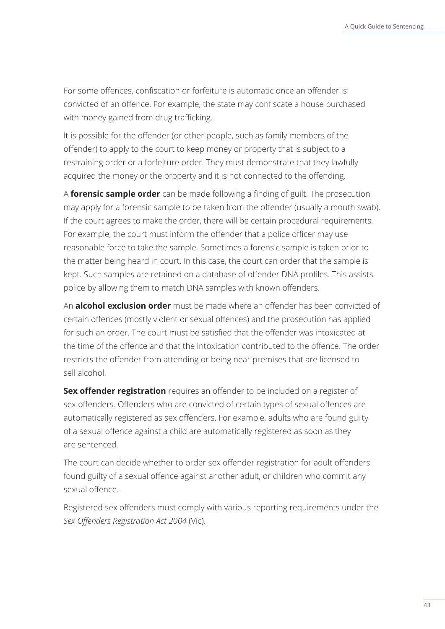For some offences, confiscation or forfeiture is automatic once an offender is convicted of an offence. For example, the state may confiscate a house purchased with money gained from drug trafficking.

It is possible for the offender (or other people, such as family members of the offender) to apply to the court to keep money or property that is subject to a restraining order or a forfeiture order. They must demonstrate that they lawfully acquired the money or the property and it is not connected to the offending.

A **forensic sample order** can be made following a finding of guilt. The prosecution may apply for a forensic sample to be taken from the offender (usually a mouth swab). If the court agrees to make the order, there will be certain procedural requirements. For example, the court must inform the offender that a police officer may use reasonable force to take the sample. Sometimes a forensic sample is taken prior to the matter being heard in court. In this case, the court can order that the sample is kept. Such samples are retained on a database of offender DNA profiles. This assists police by allowing them to match DNA samples with known offenders.

An **alcohol exclusion order** must be made where an offender has been convicted of certain offences (mostly violent or sexual offences) and the prosecution has applied for such an order. The court must be satisfied that the offender was intoxicated at the time of the offence and that the intoxication contributed to the offence. The order restricts the offender from attending or being near premises that are licensed to sell alcohol.

**Sex offender registration** requires an offender to be included on a register of sex offenders. Offenders who are convicted of certain types of sexual offences are automatically registered as sex offenders. For example, adults who are found guilty of a sexual offence against a child are automatically registered as soon as they are sentenced.

The court can decide whether to order sex offender registration for adult offenders found guilty of a sexual offence against another adult, or children who commit any sexual offence.

Registered sex offenders must comply with various reporting requirements under the *Sex Offenders Registration Act 2004* (Vic).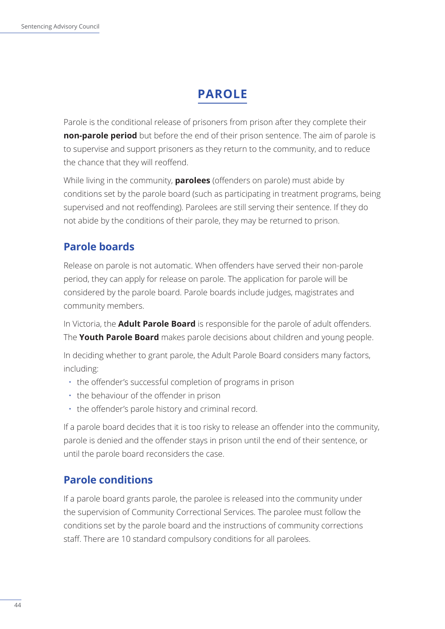# **PAROLE**

<span id="page-47-0"></span>Parole is the conditional release of prisoners from prison after they complete their **non-parole period** but before the end of their prison sentence. The aim of parole is to supervise and support prisoners as they return to the community, and to reduce the chance that they will reoffend.

While living in the community, **parolees** (offenders on parole) must abide by conditions set by the parole board (such as participating in treatment programs, being supervised and not reoffending). Parolees are still serving their sentence. If they do not abide by the conditions of their parole, they may be returned to prison.

## **Parole boards**

Release on parole is not automatic. When offenders have served their non-parole period, they can apply for release on parole. The application for parole will be considered by the parole board. Parole boards include judges, magistrates and community members.

In Victoria, the **Adult Parole Board** is responsible for the parole of adult offenders. The **Youth Parole Board** makes parole decisions about children and young people.

In deciding whether to grant parole, the Adult Parole Board considers many factors, including:

- the offender's successful completion of programs in prison
- the behaviour of the offender in prison
- the offender's parole history and criminal record.

If a parole board decides that it is too risky to release an offender into the community, parole is denied and the offender stays in prison until the end of their sentence, or until the parole board reconsiders the case.

## **Parole conditions**

If a parole board grants parole, the parolee is released into the community under the supervision of Community Correctional Services. The parolee must follow the conditions set by the parole board and the instructions of community corrections staff. There are 10 standard compulsory conditions for all parolees.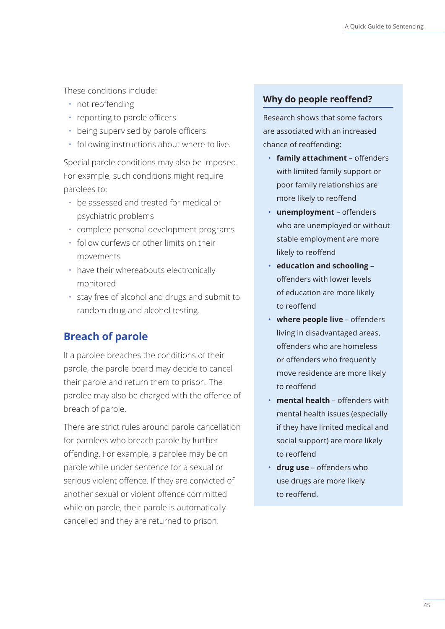<span id="page-48-0"></span>These conditions include:

- not reoffending
- reporting to parole officers
- being supervised by parole officers
- following instructions about where to live.

Special parole conditions may also be imposed. For example, such conditions might require parolees to:

- be assessed and treated for medical or psychiatric problems
- complete personal development programs
- follow curfews or other limits on their movements
- have their whereabouts electronically monitored
- stay free of alcohol and drugs and submit to random drug and alcohol testing.

## **Breach of parole**

If a parolee breaches the conditions of their parole, the parole board may decide to cancel their parole and return them to prison. The parolee may also be charged with the offence of breach of parole.

There are strict rules around parole cancellation for parolees who breach parole by further offending. For example, a parolee may be on parole while under sentence for a sexual or serious violent offence. If they are convicted of another sexual or violent offence committed while on parole, their parole is automatically cancelled and they are returned to prison.

#### **Why do people reoffend?**

Research shows that some factors are associated with an increased chance of reoffending:

- **family attachment** offenders with limited family support or poor family relationships are more likely to reoffend
- **unemployment** offenders who are unemployed or without stable employment are more likely to reoffend
- **education and schooling** offenders with lower levels of education are more likely to reoffend
- **where people live** offenders living in disadvantaged areas, offenders who are homeless or offenders who frequently move residence are more likely to reoffend
- **mental health**  offenders with mental health issues (especially if they have limited medical and social support) are more likely to reoffend
- **drug use** offenders who use drugs are more likely to reoffend.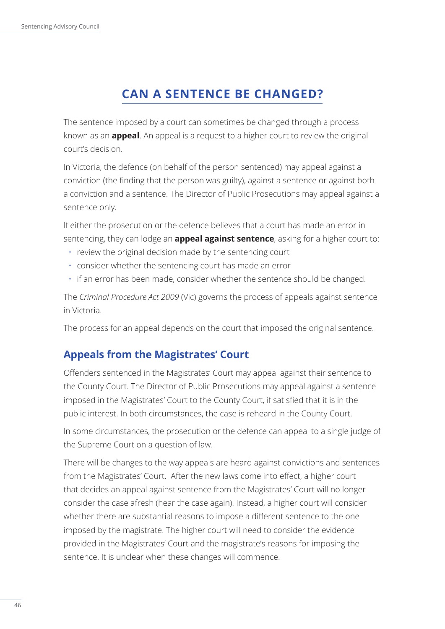# **CAN A SENTENCE BE CHANGED?**

<span id="page-49-0"></span>The sentence imposed by a court can sometimes be changed through a process known as an **appeal**. An appeal is a request to a higher court to review the original court's decision.

In Victoria, the defence (on behalf of the person sentenced) may appeal against a conviction (the finding that the person was guilty), against a sentence or against both a conviction and a sentence. The Director of Public Prosecutions may appeal against a sentence only.

If either the prosecution or the defence believes that a court has made an error in sentencing, they can lodge an **appeal against sentence**, asking for a higher court to:

- review the original decision made by the sentencing court
- consider whether the sentencing court has made an error
- if an error has been made, consider whether the sentence should be changed.

The *Criminal Procedure Act 2009* (Vic) governs the process of appeals against sentence in Victoria.

The process for an appeal depends on the court that imposed the original sentence.

## **Appeals from the Magistrates' Court**

Offenders sentenced in the Magistrates' Court may appeal against their sentence to the County Court. The Director of Public Prosecutions may appeal against a sentence imposed in the Magistrates' Court to the County Court, if satisfied that it is in the public interest. In both circumstances, the case is reheard in the County Court.

In some circumstances, the prosecution or the defence can appeal to a single judge of the Supreme Court on a question of law.

There will be changes to the way appeals are heard against convictions and sentences from the Magistrates' Court. After the new laws come into effect, a higher court that decides an appeal against sentence from the Magistrates' Court will no longer consider the case afresh (hear the case again). Instead, a higher court will consider whether there are substantial reasons to impose a different sentence to the one imposed by the magistrate. The higher court will need to consider the evidence provided in the Magistrates' Court and the magistrate's reasons for imposing the sentence. It is unclear when these changes will commence.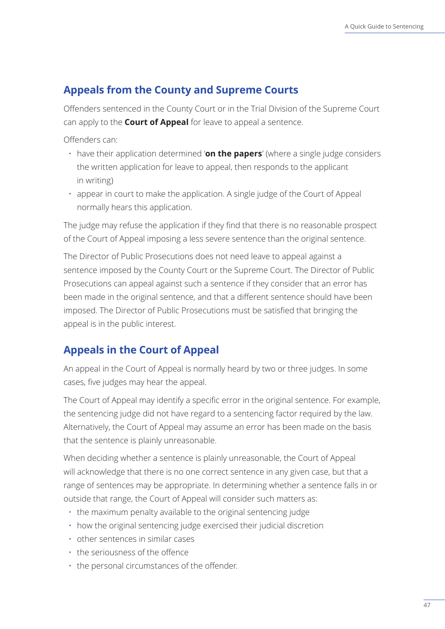## <span id="page-50-0"></span>**Appeals from the County and Supreme Courts**

Offenders sentenced in the County Court or in the Trial Division of the Supreme Court can apply to the **Court of Appeal** for leave to appeal a sentence.

Offenders can:

- have their application determined '**on the papers**' (where a single judge considers the written application for leave to appeal, then responds to the applicant in writing)
- appear in court to make the application. A single judge of the Court of Appeal normally hears this application.

The judge may refuse the application if they find that there is no reasonable prospect of the Court of Appeal imposing a less severe sentence than the original sentence.

The Director of Public Prosecutions does not need leave to appeal against a sentence imposed by the County Court or the Supreme Court. The Director of Public Prosecutions can appeal against such a sentence if they consider that an error has been made in the original sentence, and that a different sentence should have been imposed. The Director of Public Prosecutions must be satisfied that bringing the appeal is in the public interest.

## **Appeals in the Court of Appeal**

An appeal in the Court of Appeal is normally heard by two or three judges. In some cases, five judges may hear the appeal.

The Court of Appeal may identify a specific error in the original sentence. For example, the sentencing judge did not have regard to a sentencing factor required by the law. Alternatively, the Court of Appeal may assume an error has been made on the basis that the sentence is plainly unreasonable.

When deciding whether a sentence is plainly unreasonable, the Court of Appeal will acknowledge that there is no one correct sentence in any given case, but that a range of sentences may be appropriate. In determining whether a sentence falls in or outside that range, the Court of Appeal will consider such matters as:

- the maximum penalty available to the original sentencing judge
- how the original sentencing judge exercised their judicial discretion
- other sentences in similar cases
- the seriousness of the offence
- the personal circumstances of the offender.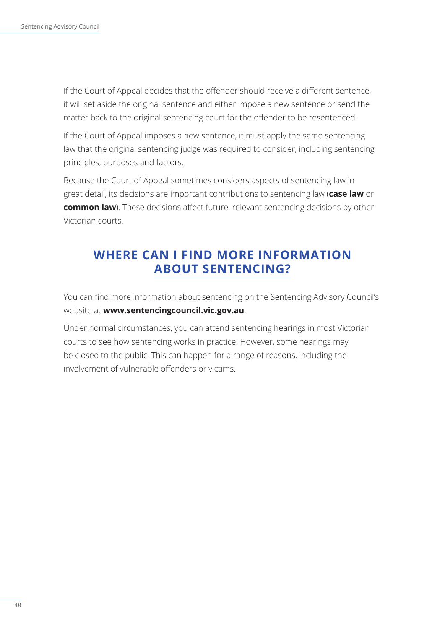<span id="page-51-0"></span>If the Court of Appeal decides that the offender should receive a different sentence, it will set aside the original sentence and either impose a new sentence or send the matter back to the original sentencing court for the offender to be resentenced.

If the Court of Appeal imposes a new sentence, it must apply the same sentencing law that the original sentencing judge was required to consider, including sentencing principles, purposes and factors.

Because the Court of Appeal sometimes considers aspects of sentencing law in great detail, its decisions are important contributions to sentencing law (**case law** or **common law**). These decisions affect future, relevant sentencing decisions by other Victorian courts.

## **WHERE CAN I FIND MORE INFORMATION ABOUT SENTENCING?**

You can find more information about sentencing on the Sentencing Advisory Council's website at **www.sentencingcouncil.vic.gov.au**.

Under normal circumstances, you can attend sentencing hearings in most Victorian courts to see how sentencing works in practice. However, some hearings may be closed to the public. This can happen for a range of reasons, including the involvement of vulnerable offenders or victims.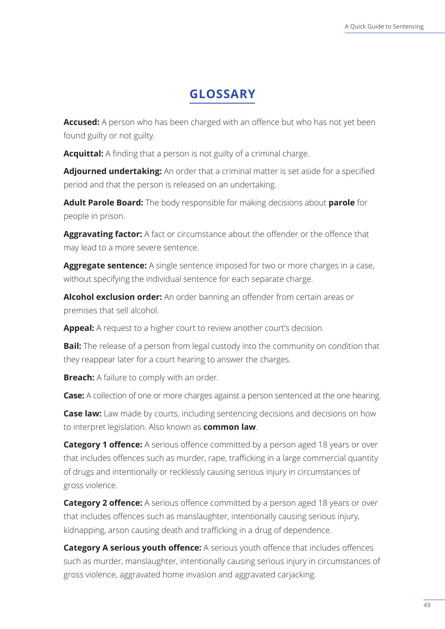# **GLOSSARY**

<span id="page-52-0"></span>**Accused:** A person who has been charged with an offence but who has not yet been found guilty or not guilty.

**Acquittal:** A finding that a person is not guilty of a criminal charge.

**Adjourned undertaking:** An order that a criminal matter is set aside for a specified period and that the person is released on an undertaking.

**Adult Parole Board:** The body responsible for making decisions about **parole** for people in prison.

**Aggravating factor:** A fact or circumstance about the offender or the offence that may lead to a more severe sentence.

**Aggregate sentence:** A single sentence imposed for two or more charges in a case, without specifying the individual sentence for each separate charge.

**Alcohol exclusion order:** An order banning an offender from certain areas or premises that sell alcohol.

Appeal: A request to a higher court to review another court's decision.

**Bail:** The release of a person from legal custody into the community on condition that they reappear later for a court hearing to answer the charges.

**Breach:** A failure to comply with an order.

**Case:** A collection of one or more charges against a person sentenced at the one hearing.

**Case law:** Law made by courts, including sentencing decisions and decisions on how to interpret legislation. Also known as **common law**.

**Category 1 offence:** A serious offence committed by a person aged 18 years or over that includes offences such as murder, rape, trafficking in a large commercial quantity of drugs and intentionally or recklessly causing serious injury in circumstances of gross violence.

**Category 2 offence:** A serious offence committed by a person aged 18 years or over that includes offences such as manslaughter, intentionally causing serious injury, kidnapping, arson causing death and trafficking in a drug of dependence.

**Category A serious youth offence:** A serious youth offence that includes offences such as murder, manslaughter, intentionally causing serious injury in circumstances of gross violence, aggravated home invasion and aggravated carjacking.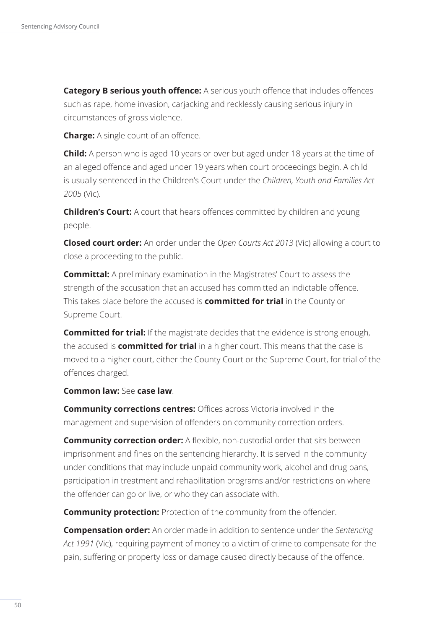**Category B serious youth offence:** A serious youth offence that includes offences such as rape, home invasion, carjacking and recklessly causing serious injury in circumstances of gross violence.

**Charge:** A single count of an offence.

**Child:** A person who is aged 10 years or over but aged under 18 years at the time of an alleged offence and aged under 19 years when court proceedings begin. A child is usually sentenced in the Children's Court under the *Children, Youth and Families Act 2005* (Vic).

**Children's Court:** A court that hears offences committed by children and young people.

**Closed court order:** An order under the *Open Courts Act 2013* (Vic) allowing a court to close a proceeding to the public.

**Committal:** A preliminary examination in the Magistrates' Court to assess the strength of the accusation that an accused has committed an indictable offence. This takes place before the accused is **committed for trial** in the County or Supreme Court.

**Committed for trial:** If the magistrate decides that the evidence is strong enough, the accused is **committed for trial** in a higher court. This means that the case is moved to a higher court, either the County Court or the Supreme Court, for trial of the offences charged.

#### **Common law:** See **case law**.

**Community corrections centres:** Offices across Victoria involved in the management and supervision of offenders on community correction orders.

**Community correction order:** A flexible, non-custodial order that sits between imprisonment and fines on the sentencing hierarchy. It is served in the community under conditions that may include unpaid community work, alcohol and drug bans, participation in treatment and rehabilitation programs and/or restrictions on where the offender can go or live, or who they can associate with.

**Community protection:** Protection of the community from the offender.

**Compensation order:** An order made in addition to sentence under the *Sentencing Act 1991* (Vic), requiring payment of money to a victim of crime to compensate for the pain, suffering or property loss or damage caused directly because of the offence.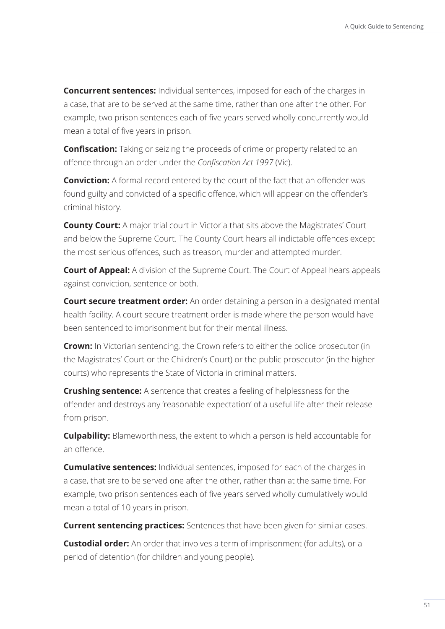**Concurrent sentences:** Individual sentences, imposed for each of the charges in a case, that are to be served at the same time, rather than one after the other. For example, two prison sentences each of five years served wholly concurrently would mean a total of five years in prison.

**Confiscation:** Taking or seizing the proceeds of crime or property related to an offence through an order under the *Confiscation Act 1997* (Vic).

**Conviction:** A formal record entered by the court of the fact that an offender was found guilty and convicted of a specific offence, which will appear on the offender's criminal history.

**County Court:** A major trial court in Victoria that sits above the Magistrates' Court and below the Supreme Court. The County Court hears all indictable offences except the most serious offences, such as treason, murder and attempted murder.

**Court of Appeal:** A division of the Supreme Court. The Court of Appeal hears appeals against conviction, sentence or both.

**Court secure treatment order:** An order detaining a person in a designated mental health facility. A court secure treatment order is made where the person would have been sentenced to imprisonment but for their mental illness.

**Crown:** In Victorian sentencing, the Crown refers to either the police prosecutor (in the Magistrates' Court or the Children's Court) or the public prosecutor (in the higher courts) who represents the State of Victoria in criminal matters.

**Crushing sentence:** A sentence that creates a feeling of helplessness for the offender and destroys any 'reasonable expectation' of a useful life after their release from prison.

**Culpability:** Blameworthiness, the extent to which a person is held accountable for an offence.

**Cumulative sentences:** Individual sentences, imposed for each of the charges in a case, that are to be served one after the other, rather than at the same time. For example, two prison sentences each of five years served wholly cumulatively would mean a total of 10 years in prison.

**Current sentencing practices:** Sentences that have been given for similar cases.

**Custodial order:** An order that involves a term of imprisonment (for adults), or a period of detention (for children and young people).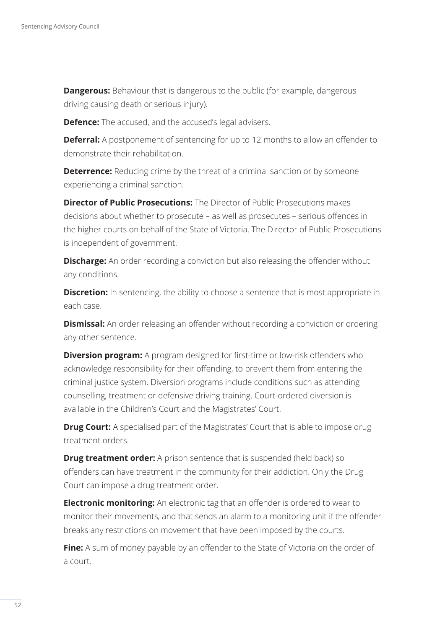**Dangerous:** Behaviour that is dangerous to the public (for example, dangerous driving causing death or serious injury).

**Defence:** The accused, and the accused's legal advisers.

**Deferral:** A postponement of sentencing for up to 12 months to allow an offender to demonstrate their rehabilitation.

**Deterrence:** Reducing crime by the threat of a criminal sanction or by someone experiencing a criminal sanction.

**Director of Public Prosecutions:** The Director of Public Prosecutions makes decisions about whether to prosecute – as well as prosecutes – serious offences in the higher courts on behalf of the State of Victoria. The Director of Public Prosecutions is independent of government.

**Discharge:** An order recording a conviction but also releasing the offender without any conditions.

**Discretion:** In sentencing, the ability to choose a sentence that is most appropriate in each case.

**Dismissal:** An order releasing an offender without recording a conviction or ordering any other sentence.

**Diversion program:** A program designed for first-time or low-risk offenders who acknowledge responsibility for their offending, to prevent them from entering the criminal justice system. Diversion programs include conditions such as attending counselling, treatment or defensive driving training. Court-ordered diversion is available in the Children's Court and the Magistrates' Court.

**Drug Court:** A specialised part of the Magistrates' Court that is able to impose drug treatment orders.

**Drug treatment order:** A prison sentence that is suspended (held back) so offenders can have treatment in the community for their addiction. Only the Drug Court can impose a drug treatment order.

**Electronic monitoring:** An electronic tag that an offender is ordered to wear to monitor their movements, and that sends an alarm to a monitoring unit if the offender breaks any restrictions on movement that have been imposed by the courts.

**Fine:** A sum of money payable by an offender to the State of Victoria on the order of a court.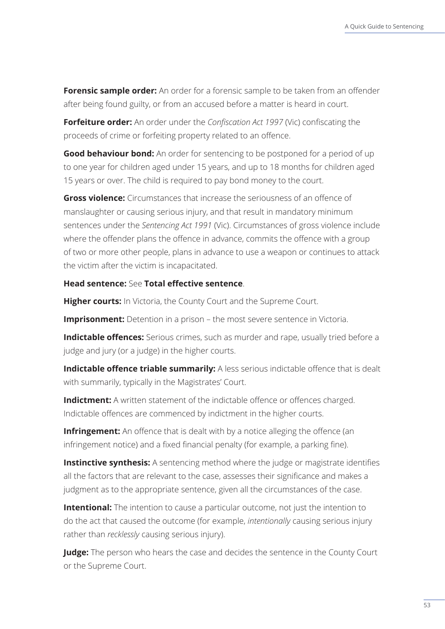**Forensic sample order:** An order for a forensic sample to be taken from an offender after being found guilty, or from an accused before a matter is heard in court.

**Forfeiture order:** An order under the *Confiscation Act 1997* (Vic) confiscating the proceeds of crime or forfeiting property related to an offence.

**Good behaviour bond:** An order for sentencing to be postponed for a period of up to one year for children aged under 15 years, and up to 18 months for children aged 15 years or over. The child is required to pay bond money to the court.

**Gross violence:** Circumstances that increase the seriousness of an offence of manslaughter or causing serious injury, and that result in mandatory minimum sentences under the *Sentencing Act 1991* (Vic). Circumstances of gross violence include where the offender plans the offence in advance, commits the offence with a group of two or more other people, plans in advance to use a weapon or continues to attack the victim after the victim is incapacitated.

**Head sentence:** See **Total effective sentence**.

**Higher courts:** In Victoria, the County Court and the Supreme Court.

**Imprisonment:** Detention in a prison – the most severe sentence in Victoria.

**Indictable offences:** Serious crimes, such as murder and rape, usually tried before a judge and jury (or a judge) in the higher courts.

**Indictable offence triable summarily:** A less serious indictable offence that is dealt with summarily, typically in the Magistrates' Court.

**Indictment:** A written statement of the indictable offence or offences charged. Indictable offences are commenced by indictment in the higher courts.

**Infringement:** An offence that is dealt with by a notice alleging the offence (an infringement notice) and a fixed financial penalty (for example, a parking fine).

**Instinctive synthesis:** A sentencing method where the judge or magistrate identifies all the factors that are relevant to the case, assesses their significance and makes a judgment as to the appropriate sentence, given all the circumstances of the case.

**Intentional:** The intention to cause a particular outcome, not just the intention to do the act that caused the outcome (for example, *intentionally* causing serious injury rather than *recklessly* causing serious injury).

**Judge:** The person who hears the case and decides the sentence in the County Court or the Supreme Court.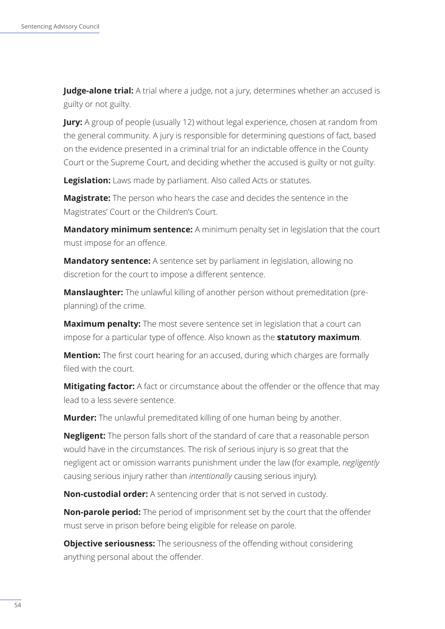**Judge-alone trial:** A trial where a judge, not a jury, determines whether an accused is guilty or not guilty.

**Jury:** A group of people (usually 12) without legal experience, chosen at random from the general community. A jury is responsible for determining questions of fact, based on the evidence presented in a criminal trial for an indictable offence in the County Court or the Supreme Court, and deciding whether the accused is guilty or not guilty.

**Legislation:** Laws made by parliament. Also called Acts or statutes.

**Magistrate:** The person who hears the case and decides the sentence in the Magistrates' Court or the Children's Court.

**Mandatory minimum sentence:** A minimum penalty set in legislation that the court must impose for an offence.

**Mandatory sentence:** A sentence set by parliament in legislation, allowing no discretion for the court to impose a different sentence.

**Manslaughter:** The unlawful killing of another person without premeditation (preplanning) of the crime.

**Maximum penalty:** The most severe sentence set in legislation that a court can impose for a particular type of offence. Also known as the **statutory maximum**.

**Mention:** The first court hearing for an accused, during which charges are formally filed with the court.

**Mitigating factor:** A fact or circumstance about the offender or the offence that may lead to a less severe sentence.

**Murder:** The unlawful premeditated killing of one human being by another.

**Negligent:** The person falls short of the standard of care that a reasonable person would have in the circumstances. The risk of serious injury is so great that the negligent act or omission warrants punishment under the law (for example, *negligently* causing serious injury rather than *intentionally* causing serious injury).

**Non-custodial order:** A sentencing order that is not served in custody.

**Non-parole period:** The period of imprisonment set by the court that the offender must serve in prison before being eligible for release on parole.

**Objective seriousness:** The seriousness of the offending without considering anything personal about the offender.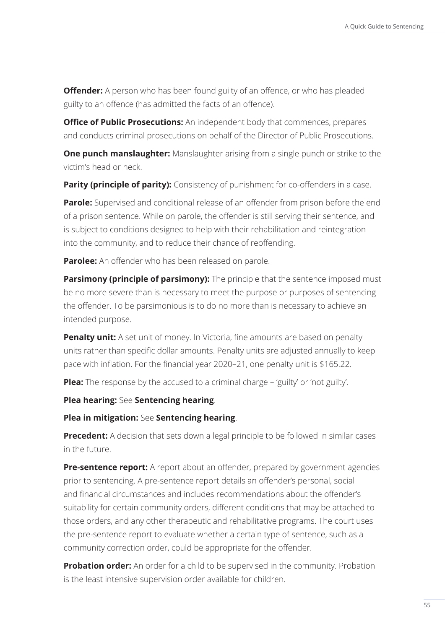**Offender:** A person who has been found guilty of an offence, or who has pleaded guilty to an offence (has admitted the facts of an offence).

**Office of Public Prosecutions:** An independent body that commences, prepares and conducts criminal prosecutions on behalf of the Director of Public Prosecutions.

**One punch manslaughter:** Manslaughter arising from a single punch or strike to the victim's head or neck.

**Parity (principle of parity):** Consistency of punishment for co-offenders in a case.

**Parole:** Supervised and conditional release of an offender from prison before the end of a prison sentence. While on parole, the offender is still serving their sentence, and is subject to conditions designed to help with their rehabilitation and reintegration into the community, and to reduce their chance of reoffending.

**Parolee:** An offender who has been released on parole.

**Parsimony (principle of parsimony):** The principle that the sentence imposed must be no more severe than is necessary to meet the purpose or purposes of sentencing the offender. To be parsimonious is to do no more than is necessary to achieve an intended purpose.

**Penalty unit:** A set unit of money. In Victoria, fine amounts are based on penalty units rather than specific dollar amounts. Penalty units are adjusted annually to keep pace with inflation. For the financial year 2020–21, one penalty unit is \$165.22.

**Plea:** The response by the accused to a criminal charge – 'guilty' or 'not guilty'.

**Plea hearing:** See **Sentencing hearing**.

**Plea in mitigation:** See **Sentencing hearing**.

**Precedent:** A decision that sets down a legal principle to be followed in similar cases in the future.

**Pre-sentence report:** A report about an offender, prepared by government agencies prior to sentencing. A pre-sentence report details an offender's personal, social and financial circumstances and includes recommendations about the offender's suitability for certain community orders, different conditions that may be attached to those orders, and any other therapeutic and rehabilitative programs. The court uses the pre-sentence report to evaluate whether a certain type of sentence, such as a community correction order, could be appropriate for the offender.

**Probation order:** An order for a child to be supervised in the community. Probation is the least intensive supervision order available for children.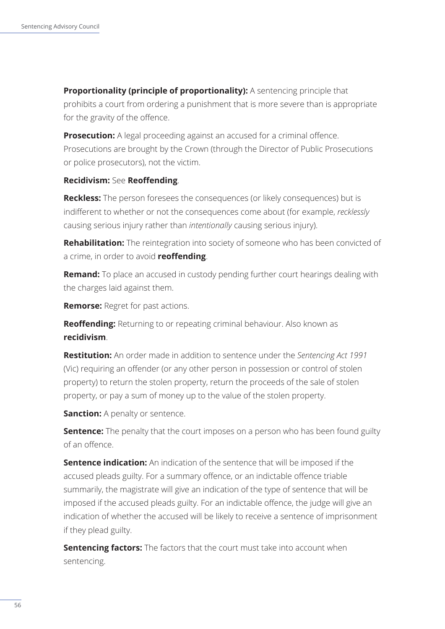**Proportionality (principle of proportionality):** A sentencing principle that prohibits a court from ordering a punishment that is more severe than is appropriate for the gravity of the offence.

**Prosecution:** A legal proceeding against an accused for a criminal offence. Prosecutions are brought by the Crown (through the Director of Public Prosecutions or police prosecutors), not the victim.

#### **Recidivism:** See **Reoffending**.

**Reckless:** The person foresees the consequences (or likely consequences) but is indifferent to whether or not the consequences come about (for example, *recklessly* causing serious injury rather than *intentionally* causing serious injury).

**Rehabilitation:** The reintegration into society of someone who has been convicted of a crime, in order to avoid **reoffending**.

**Remand:** To place an accused in custody pending further court hearings dealing with the charges laid against them.

**Remorse:** Regret for past actions.

**Reoffending:** Returning to or repeating criminal behaviour. Also known as **recidivism**.

**Restitution:** An order made in addition to sentence under the *Sentencing Act 1991* (Vic) requiring an offender (or any other person in possession or control of stolen property) to return the stolen property, return the proceeds of the sale of stolen property, or pay a sum of money up to the value of the stolen property.

**Sanction:** A penalty or sentence.

**Sentence:** The penalty that the court imposes on a person who has been found guilty of an offence.

**Sentence indication:** An indication of the sentence that will be imposed if the accused pleads guilty. For a summary offence, or an indictable offence triable summarily, the magistrate will give an indication of the type of sentence that will be imposed if the accused pleads guilty. For an indictable offence, the judge will give an indication of whether the accused will be likely to receive a sentence of imprisonment if they plead guilty.

**Sentencing factors:** The factors that the court must take into account when sentencing.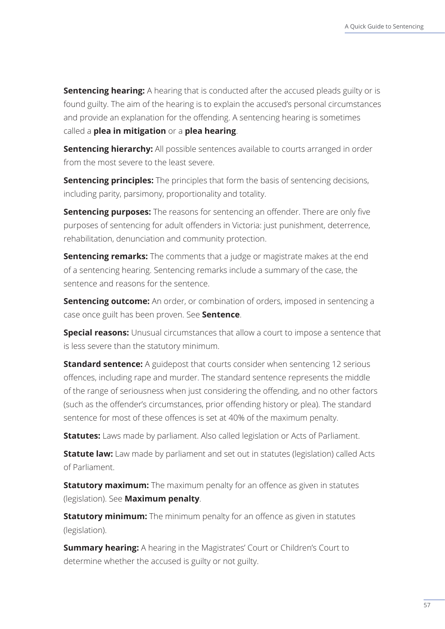**Sentencing hearing:** A hearing that is conducted after the accused pleads guilty or is found guilty. The aim of the hearing is to explain the accused's personal circumstances and provide an explanation for the offending. A sentencing hearing is sometimes called a **plea in mitigation** or a **plea hearing**.

**Sentencing hierarchy:** All possible sentences available to courts arranged in order from the most severe to the least severe.

**Sentencing principles:** The principles that form the basis of sentencing decisions, including parity, parsimony, proportionality and totality.

**Sentencing purposes:** The reasons for sentencing an offender. There are only five purposes of sentencing for adult offenders in Victoria: just punishment, deterrence, rehabilitation, denunciation and community protection.

**Sentencing remarks:** The comments that a judge or magistrate makes at the end of a sentencing hearing. Sentencing remarks include a summary of the case, the sentence and reasons for the sentence.

**Sentencing outcome:** An order, or combination of orders, imposed in sentencing a case once guilt has been proven. See **Sentence**.

**Special reasons:** Unusual circumstances that allow a court to impose a sentence that is less severe than the statutory minimum.

**Standard sentence:** A guidepost that courts consider when sentencing 12 serious offences, including rape and murder. The standard sentence represents the middle of the range of seriousness when just considering the offending, and no other factors (such as the offender's circumstances, prior offending history or plea). The standard sentence for most of these offences is set at 40% of the maximum penalty.

**Statutes:** Laws made by parliament. Also called legislation or Acts of Parliament.

**Statute law:** Law made by parliament and set out in statutes (legislation) called Acts of Parliament.

**Statutory maximum:** The maximum penalty for an offence as given in statutes (legislation). See **Maximum penalty**.

**Statutory minimum:** The minimum penalty for an offence as given in statutes (legislation).

**Summary hearing:** A hearing in the Magistrates' Court or Children's Court to determine whether the accused is guilty or not guilty.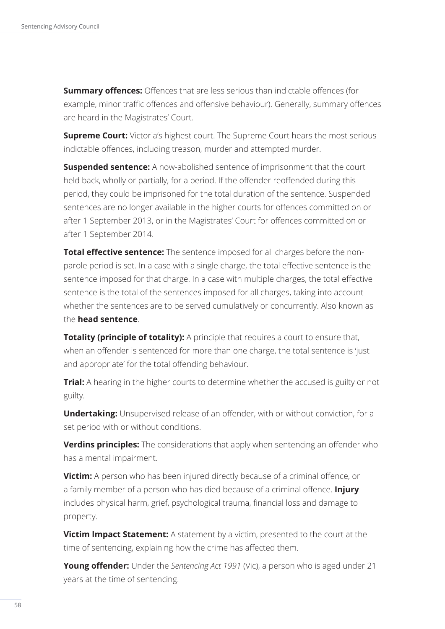**Summary offences:** Offences that are less serious than indictable offences (for example, minor traffic offences and offensive behaviour). Generally, summary offences are heard in the Magistrates' Court.

**Supreme Court:** Victoria's highest court. The Supreme Court hears the most serious indictable offences, including treason, murder and attempted murder.

**Suspended sentence:** A now-abolished sentence of imprisonment that the court held back, wholly or partially, for a period. If the offender reoffended during this period, they could be imprisoned for the total duration of the sentence. Suspended sentences are no longer available in the higher courts for offences committed on or after 1 September 2013, or in the Magistrates' Court for offences committed on or after 1 September 2014.

**Total effective sentence:** The sentence imposed for all charges before the nonparole period is set. In a case with a single charge, the total effective sentence is the sentence imposed for that charge. In a case with multiple charges, the total effective sentence is the total of the sentences imposed for all charges, taking into account whether the sentences are to be served cumulatively or concurrently. Also known as the **head sentence**.

**Totality (principle of totality):** A principle that requires a court to ensure that, when an offender is sentenced for more than one charge, the total sentence is 'just and appropriate' for the total offending behaviour.

**Trial:** A hearing in the higher courts to determine whether the accused is guilty or not guilty.

**Undertaking:** Unsupervised release of an offender, with or without conviction, for a set period with or without conditions.

**Verdins principles:** The considerations that apply when sentencing an offender who has a mental impairment.

**Victim:** A person who has been injured directly because of a criminal offence, or a family member of a person who has died because of a criminal offence. **Injury** includes physical harm, grief, psychological trauma, financial loss and damage to property.

**Victim Impact Statement:** A statement by a victim, presented to the court at the time of sentencing, explaining how the crime has affected them.

**Young offender:** Under the *Sentencing Act 1991* (Vic), a person who is aged under 21 years at the time of sentencing.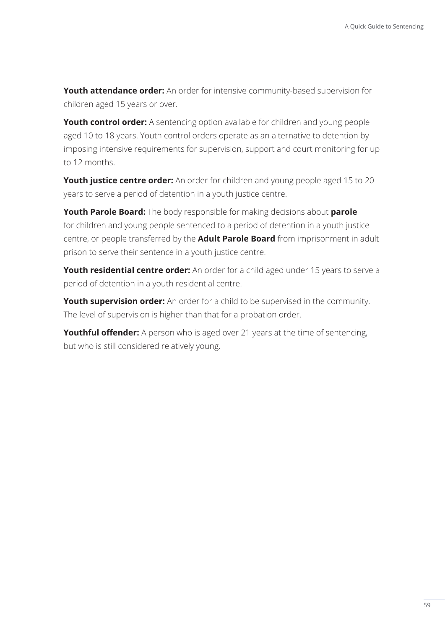**Youth attendance order:** An order for intensive community-based supervision for children aged 15 years or over.

**Youth control order:** A sentencing option available for children and young people aged 10 to 18 years. Youth control orders operate as an alternative to detention by imposing intensive requirements for supervision, support and court monitoring for up to 12 months.

**Youth justice centre order:** An order for children and young people aged 15 to 20 years to serve a period of detention in a youth justice centre.

**Youth Parole Board:** The body responsible for making decisions about **parole** for children and young people sentenced to a period of detention in a youth justice centre, or people transferred by the **Adult Parole Board** from imprisonment in adult prison to serve their sentence in a youth justice centre.

**Youth residential centre order:** An order for a child aged under 15 years to serve a period of detention in a youth residential centre.

**Youth supervision order:** An order for a child to be supervised in the community. The level of supervision is higher than that for a probation order.

**Youthful offender:** A person who is aged over 21 years at the time of sentencing, but who is still considered relatively young.